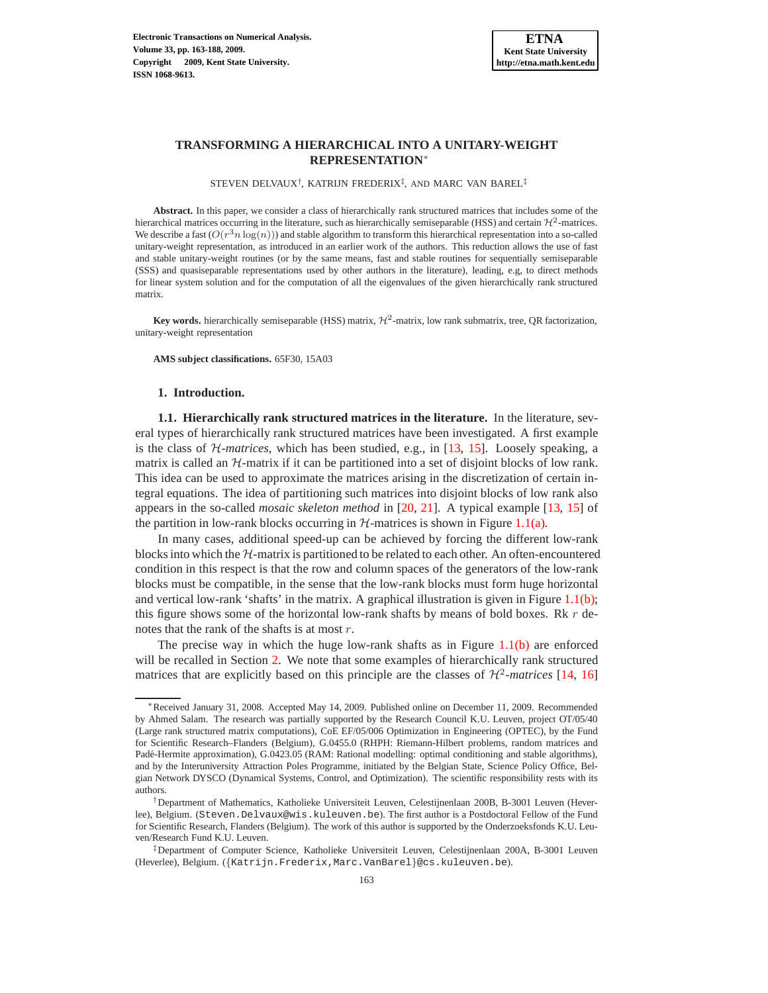STEVEN DELVAUX<sup>†</sup>, KATRIJN FREDERIX<sup>‡</sup>, AND MARC VAN BAREL<sup>‡</sup>

**Abstract.** In this paper, we consider a class of hierarchically rank structured matrices that includes some of the hierarchical matrices occurring in the literature, such as hierarchically semiseparable (HSS) and certain  $\mathcal{H}^2$ -matrices. We describe a fast  $(O(r^3n \log(n)))$  and stable algorithm to transform this hierarchical representation into a so-called unitary-weight representation, as introduced in an earlier work of the authors. This reduction allows the use of fast and stable unitary-weight routines (or by the same means, fast and stable routines for sequentially semiseparable (SSS) and quasiseparable representations used by other authors in the literature), leading, e.g, to direct methods for linear system solution and for the computation of all the eigenvalues of the given hierarchically rank structured matrix.

**Key words.** hierarchically semiseparable (HSS) matrix,  $H^2$ -matrix, low rank submatrix, tree, QR factorization, unitary-weight representation

**AMS subject classifications.** 65F30, 15A03

# **1. Introduction.**

<span id="page-0-0"></span>**1.1. Hierarchically rank structured matrices in the literature.** In the literature, several types of hierarchically rank structured matrices have been investigated. A first example is the class of H-*matrices*, which has been studied, e.g., in [\[13](#page-24-0), [15\]](#page-24-1). Loosely speaking, a matrix is called an  $H$ -matrix if it can be partitioned into a set of disjoint blocks of low rank. This idea can be used to approximate the matrices arising in the discretization of certain integral equations. The idea of partitioning such matrices into disjoint blocks of low rank also appears in the so-called *mosaic skeleton method* in [\[20](#page-25-0), [21\]](#page-25-1). A typical example [\[13,](#page-24-0) [15](#page-24-1)] of the partition in low-rank blocks occurring in  $H$ -matrices is shown in Figure [1.1\(a\).](#page-1-0)

In many cases, additional speed-up can be achieved by forcing the different low-rank blocks into which the  $H$ -matrix is partitioned to be related to each other. An often-encountered condition in this respect is that the row and column spaces of the generators of the low-rank blocks must be compatible, in the sense that the low-rank blocks must form huge horizontal and vertical low-rank 'shafts' in the matrix. A graphical illustration is given in Figure [1.1\(b\);](#page-1-1) this figure shows some of the horizontal low-rank shafts by means of bold boxes. Rk  $r$  denotes that the rank of the shafts is at most r.

The precise way in which the huge low-rank shafts as in Figure  $1.1(b)$  are enforced will be recalled in Section [2.](#page-4-0) We note that some examples of hierarchically rank structured matrices that are explicitly based on this principle are the classes of  $H^2$ -matrices [\[14,](#page-24-2) [16\]](#page-25-2)

<sup>∗</sup>Received January 31, 2008. Accepted May 14, 2009. Published online on December 11, 2009. Recommended by Ahmed Salam. The research was partially supported by the Research Council K.U. Leuven, project OT/05/40 (Large rank structured matrix computations), CoE EF/05/006 Optimization in Engineering (OPTEC), by the Fund for Scientific Research–Flanders (Belgium), G.0455.0 (RHPH: Riemann-Hilbert problems, random matrices and Padé-Hermite approximation), G.0423.05 (RAM: Rational modelling: optimal conditioning and stable algorithms), and by the Interuniversity Attraction Poles Programme, initiated by the Belgian State, Science Policy Office, Belgian Network DYSCO (Dynamical Systems, Control, and Optimization). The scientific responsibility rests with its authors.

<sup>†</sup>Department of Mathematics, Katholieke Universiteit Leuven, Celestijnenlaan 200B, B-3001 Leuven (Heverlee), Belgium. (Steven.Delvaux@wis.kuleuven.be). The first author is a Postdoctoral Fellow of the Fund for Scientific Research, Flanders (Belgium). The work of this author is supported by the Onderzoeksfonds K.U. Leuven/Research Fund K.U. Leuven.

<sup>‡</sup>Department of Computer Science, Katholieke Universiteit Leuven, Celestijnenlaan 200A, B-3001 Leuven (Heverlee), Belgium. ({Katrijn.Frederix,Marc.VanBarel}@cs.kuleuven.be).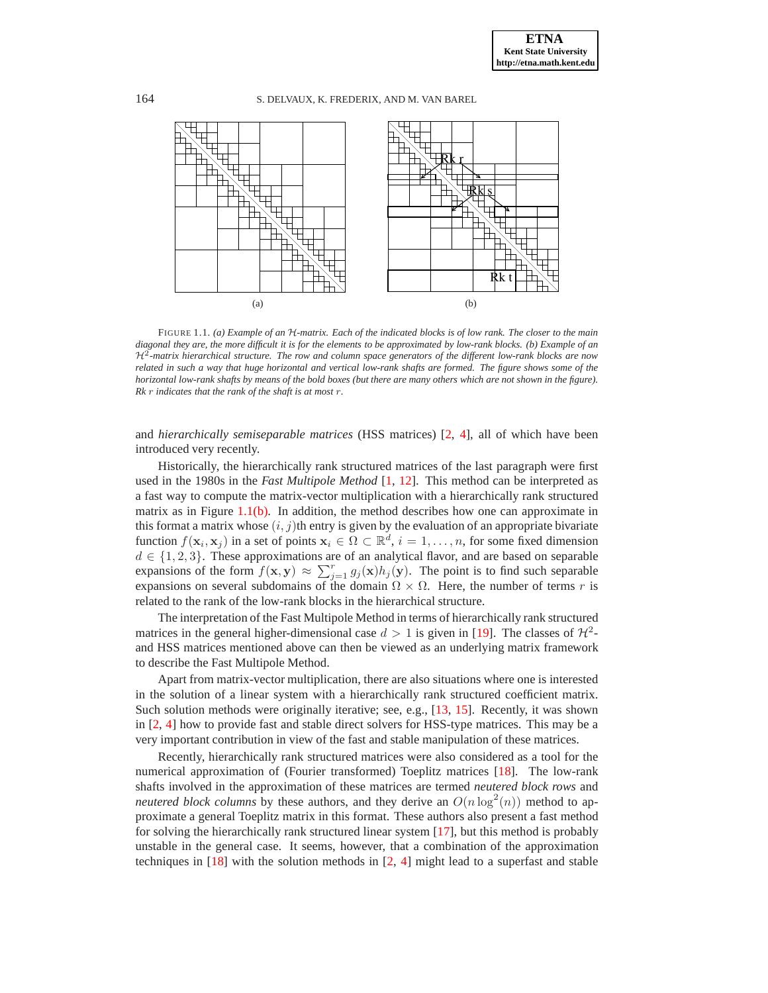<span id="page-1-0"></span>

<span id="page-1-2"></span><span id="page-1-1"></span>FIGURE 1.1. *(a) Example of an* H*-matrix. Each of the indicated blocks is of low rank. The closer to the main diagonal they are, the more difficult it is for the elements to be approximated by low-rank blocks. (b) Example of an* H<sup>2</sup> *-matrix hierarchical structure. The row and column space generators of the different low-rank blocks are now related in such a way that huge horizontal and vertical low-rank shafts are formed. The figure shows some of the horizontal low-rank shafts by means of the bold boxes (but there are many others which are not shown in the figure). Rk* r *indicates that the rank of the shaft is at most* r*.*

and *hierarchically semiseparable matrices* (HSS matrices) [\[2](#page-24-3), [4\]](#page-24-4), all of which have been introduced very recently.

Historically, the hierarchically rank structured matrices of the last paragraph were first used in the 1980s in the *Fast Multipole Method* [\[1,](#page-24-5) [12](#page-24-6)]. This method can be interpreted as a fast way to compute the matrix-vector multiplication with a hierarchically rank structured matrix as in Figure [1.1\(b\).](#page-1-1) In addition, the method describes how one can approximate in this format a matrix whose  $(i, j)$ th entry is given by the evaluation of an appropriate bivariate function  $f(\mathbf{x}_i, \mathbf{x}_j)$  in a set of points  $\mathbf{x}_i \in \Omega \subset \mathbb{R}^d$ ,  $i = 1, \ldots, n$ , for some fixed dimension  $d \in \{1, 2, 3\}$ . These approximations are of an analytical flavor, and are based on separable expansions of the form  $f(\mathbf{x}, \mathbf{y}) \approx \sum_{j=1}^{r} g_j(\mathbf{x}) h_j(\mathbf{y})$ . The point is to find such separable expansions on several subdomains of the domain  $\Omega \times \Omega$ . Here, the number of terms r is related to the rank of the low-rank blocks in the hierarchical structure.

The interpretation of the Fast Multipole Method in terms of hierarchically rank structured matrices in the general higher-dimensional case  $d > 1$  is given in [\[19\]](#page-25-3). The classes of  $\mathcal{H}^2$ and HSS matrices mentioned above can then be viewed as an underlying matrix framework to describe the Fast Multipole Method.

Apart from matrix-vector multiplication, there are also situations where one is interested in the solution of a linear system with a hierarchically rank structured coefficient matrix. Such solution methods were originally iterative; see, e.g., [\[13](#page-24-0), [15\]](#page-24-1). Recently, it was shown in [\[2,](#page-24-3) [4](#page-24-4)] how to provide fast and stable direct solvers for HSS-type matrices. This may be a very important contribution in view of the fast and stable manipulation of these matrices.

Recently, hierarchically rank structured matrices were also considered as a tool for the numerical approximation of (Fourier transformed) Toeplitz matrices [\[18\]](#page-25-4). The low-rank shafts involved in the approximation of these matrices are termed *neutered block rows* and *neutered block columns* by these authors, and they derive an  $O(n \log^2(n))$  method to approximate a general Toeplitz matrix in this format. These authors also present a fast method for solving the hierarchically rank structured linear system [\[17\]](#page-25-5), but this method is probably unstable in the general case. It seems, however, that a combination of the approximation techniques in [\[18\]](#page-25-4) with the solution methods in [\[2,](#page-24-3) [4\]](#page-24-4) might lead to a superfast and stable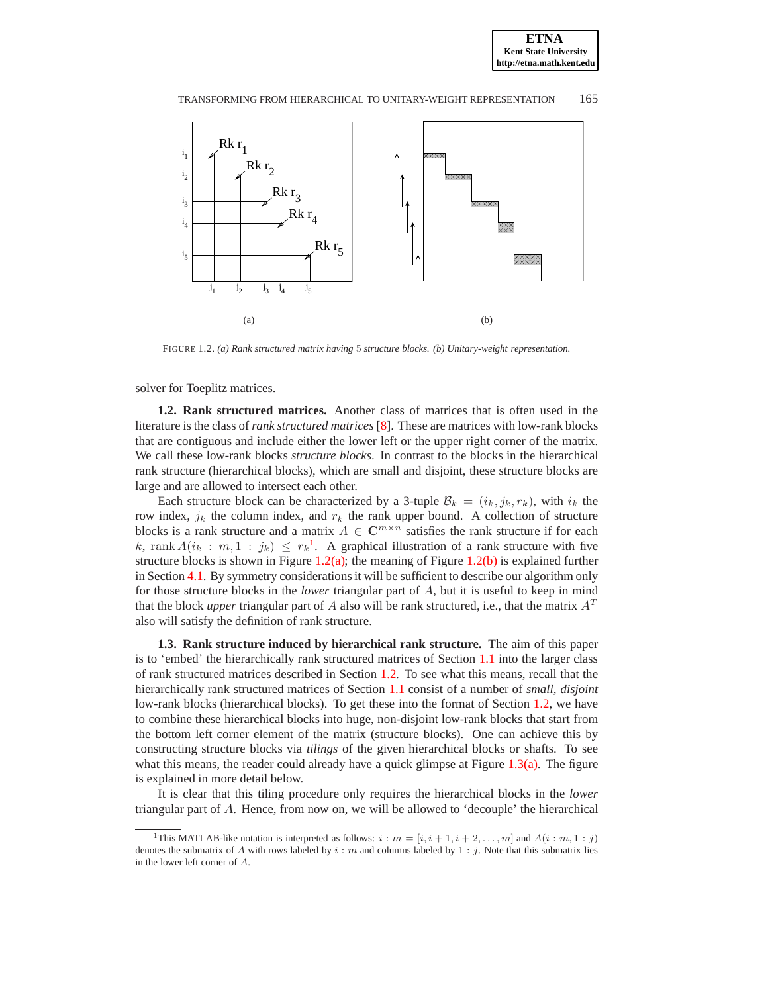<span id="page-2-1"></span>

<span id="page-2-5"></span><span id="page-2-2"></span>FIGURE 1.2. *(a) Rank structured matrix having* 5 *structure blocks. (b) Unitary-weight representation.*

<span id="page-2-3"></span>solver for Toeplitz matrices.

**1.2. Rank structured matrices.** Another class of matrices that is often used in the literature is the class of *rank structured matrices* [\[8\]](#page-24-7). These are matrices with low-rank blocks that are contiguous and include either the lower left or the upper right corner of the matrix. We call these low-rank blocks *structure blocks*. In contrast to the blocks in the hierarchical rank structure (hierarchical blocks), which are small and disjoint, these structure blocks are large and are allowed to intersect each other.

Each structure block can be characterized by a 3-tuple  $B_k = (i_k, j_k, r_k)$ , with  $i_k$  the row index,  $j_k$  the column index, and  $r_k$  the rank upper bound. A collection of structure blocks is a rank structure and a matrix  $A \in \mathbb{C}^{m \times n}$  satisfies the rank structure if for each k, rank  $A(i_k : m, 1 : j_k) \leq r_k^1$  $A(i_k : m, 1 : j_k) \leq r_k^1$  $A(i_k : m, 1 : j_k) \leq r_k^1$ . A graphical illustration of a rank structure with five structure blocks is shown in Figure  $1.2(a)$ ; the meaning of Figure  $1.2(b)$  is explained further in Section [4.1.](#page-9-0) By symmetry considerations it will be sufficient to describe our algorithm only for those structure blocks in the *lower* triangular part of A, but it is useful to keep in mind that the block *upper* triangular part of A also will be rank structured, i.e., that the matrix  $A<sup>T</sup>$ also will satisfy the definition of rank structure.

<span id="page-2-4"></span>**1.3. Rank structure induced by hierarchical rank structure.** The aim of this paper is to 'embed' the hierarchically rank structured matrices of Section [1.1](#page-0-0) into the larger class of rank structured matrices described in Section [1.2.](#page-2-3) To see what this means, recall that the hierarchically rank structured matrices of Section [1.1](#page-0-0) consist of a number of *small, disjoint* low-rank blocks (hierarchical blocks). To get these into the format of Section [1.2,](#page-2-3) we have to combine these hierarchical blocks into huge, non-disjoint low-rank blocks that start from the bottom left corner element of the matrix (structure blocks). One can achieve this by constructing structure blocks via *tilings* of the given hierarchical blocks or shafts. To see what this means, the reader could already have a quick glimpse at Figure  $1.3(a)$ . The figure is explained in more detail below.

It is clear that this tiling procedure only requires the hierarchical blocks in the *lower* triangular part of A. Hence, from now on, we will be allowed to 'decouple' the hierarchical

<span id="page-2-0"></span><sup>&</sup>lt;sup>1</sup>This MATLAB-like notation is interpreted as follows:  $i : m = [i, i + 1, i + 2, ..., m]$  and  $A(i : m, 1 : j)$ denotes the submatrix of A with rows labeled by  $i : m$  and columns labeled by 1 : j. Note that this submatrix lies in the lower left corner of A.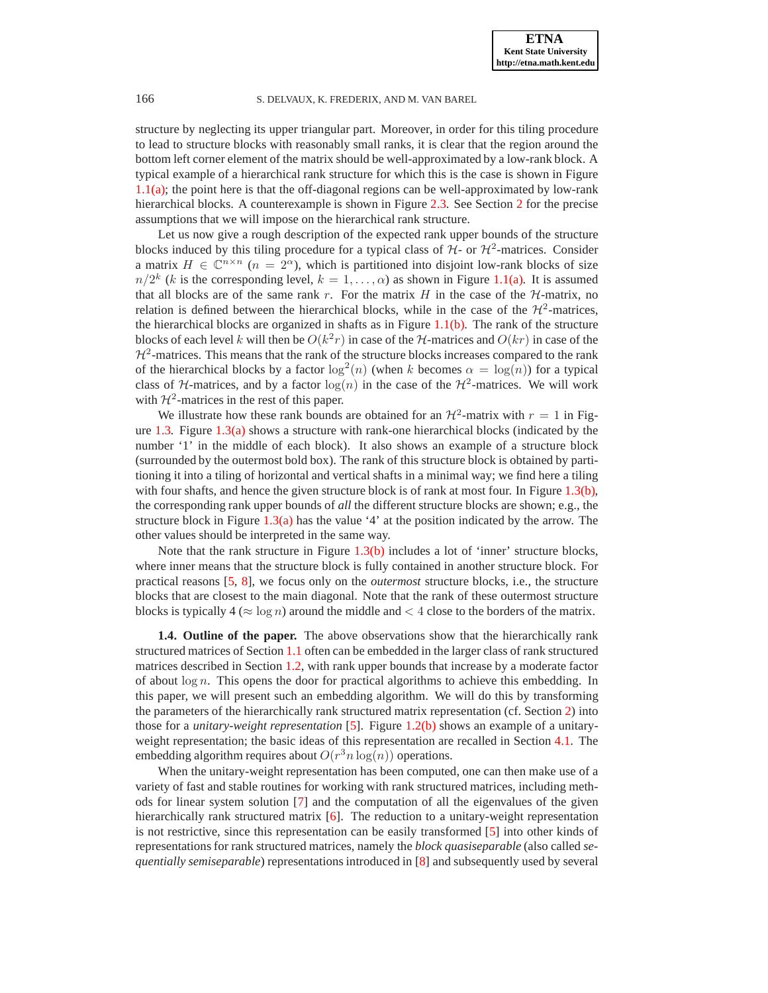structure by neglecting its upper triangular part. Moreover, in order for this tiling procedure to lead to structure blocks with reasonably small ranks, it is clear that the region around the bottom left corner element of the matrix should be well-approximated by a low-rank block. A typical example of a hierarchical rank structure for which this is the case is shown in Figure [1.1\(a\);](#page-1-0) the point here is that the off-diagonal regions can be well-approximated by low-rank hierarchical blocks. A counterexample is shown in Figure [2.3.](#page-6-0) See Section [2](#page-4-0) for the precise assumptions that we will impose on the hierarchical rank structure.

Let us now give a rough description of the expected rank upper bounds of the structure blocks induced by this tiling procedure for a typical class of  $H$ - or  $H^2$ -matrices. Consider a matrix  $H \in \mathbb{C}^{n \times n}$  ( $n = 2^{\alpha}$ ), which is partitioned into disjoint low-rank blocks of size  $n/2^k$  (k is the corresponding level,  $k = 1, ..., \alpha$ ) as shown in Figure [1.1\(a\).](#page-1-0) It is assumed that all blocks are of the same rank r. For the matrix H in the case of the  $H$ -matrix, no relation is defined between the hierarchical blocks, while in the case of the  $\mathcal{H}^2$ -matrices, the hierarchical blocks are organized in shafts as in Figure  $1.1(b)$ . The rank of the structure blocks of each level k will then be  $O(k^2r)$  in case of the H-matrices and  $O(kr)$  in case of the  $H<sup>2</sup>$ -matrices. This means that the rank of the structure blocks increases compared to the rank of the hierarchical blocks by a factor  $\log^2(n)$  (when k becomes  $\alpha = \log(n)$ ) for a typical class of H-matrices, and by a factor  $log(n)$  in the case of the  $H^2$ -matrices. We will work with  $\mathcal{H}^2$ -matrices in the rest of this paper.

We illustrate how these rank bounds are obtained for an  $\mathcal{H}^2$ -matrix with  $r = 1$  in Figure  $1.3$ . Figure  $1.3(a)$  shows a structure with rank-one hierarchical blocks (indicated by the number '1' in the middle of each block). It also shows an example of a structure block (surrounded by the outermost bold box). The rank of this structure block is obtained by partitioning it into a tiling of horizontal and vertical shafts in a minimal way; we find here a tiling with four shafts, and hence the given structure block is of rank at most four. In Figure [1.3\(b\),](#page-4-3) the corresponding rank upper bounds of *all* the different structure blocks are shown; e.g., the structure block in Figure [1.3\(a\)](#page-4-1) has the value '4' at the position indicated by the arrow. The other values should be interpreted in the same way.

Note that the rank structure in Figure [1.3\(b\)](#page-4-3) includes a lot of 'inner' structure blocks, where inner means that the structure block is fully contained in another structure block. For practical reasons [\[5,](#page-24-8) [8\]](#page-24-7), we focus only on the *outermost* structure blocks, i.e., the structure blocks that are closest to the main diagonal. Note that the rank of these outermost structure blocks is typically  $4 \approx \log n$  around the middle and  $\lt 4$  close to the borders of the matrix.

**1.4. Outline of the paper.** The above observations show that the hierarchically rank structured matrices of Section [1.1](#page-0-0) often can be embedded in the larger class of rank structured matrices described in Section [1.2,](#page-2-3) with rank upper bounds that increase by a moderate factor of about  $\log n$ . This opens the door for practical algorithms to achieve this embedding. In this paper, we will present such an embedding algorithm. We will do this by transforming the parameters of the hierarchically rank structured matrix representation (cf. Section [2\)](#page-4-0) into those for a *unitary-weight representation* [\[5](#page-24-8)]. Figure [1.2\(b\)](#page-2-2) shows an example of a unitaryweight representation; the basic ideas of this representation are recalled in Section [4.1.](#page-9-0) The embedding algorithm requires about  $O(r^3 n \log(n))$  operations.

When the unitary-weight representation has been computed, one can then make use of a variety of fast and stable routines for working with rank structured matrices, including methods for linear system solution [\[7](#page-24-9)] and the computation of all the eigenvalues of the given hierarchically rank structured matrix [\[6](#page-24-10)]. The reduction to a unitary-weight representation is not restrictive, since this representation can be easily transformed [\[5](#page-24-8)] into other kinds of representations for rank structured matrices, namely the *block quasiseparable* (also called *sequentially semiseparable*) representations introduced in [\[8](#page-24-7)] and subsequently used by several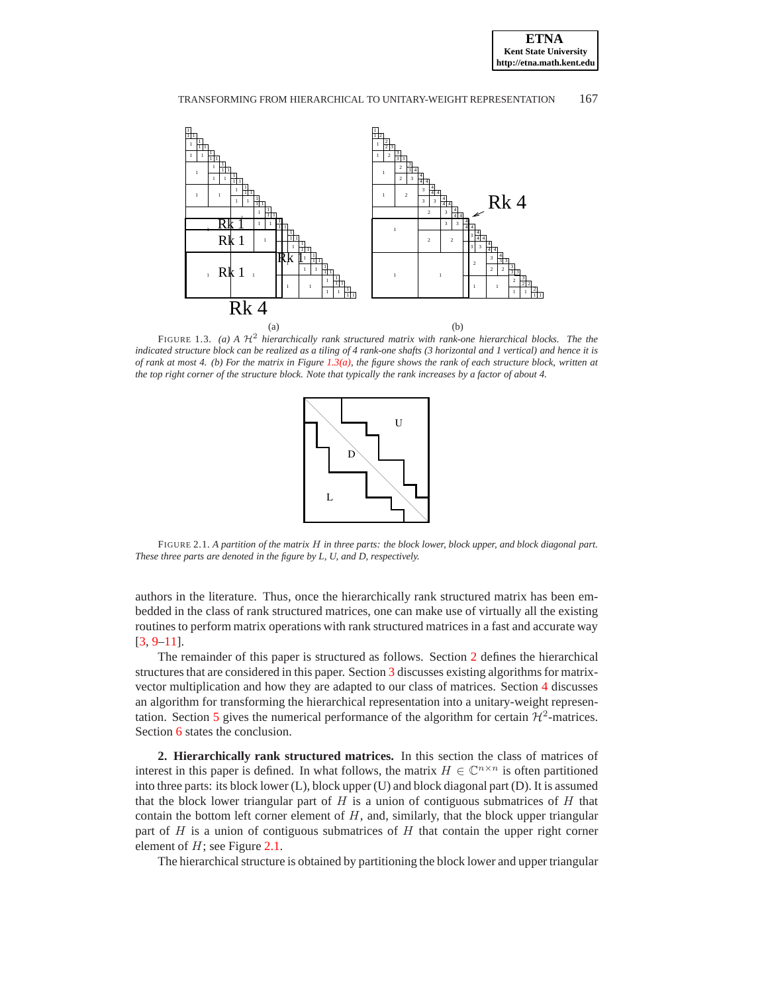<span id="page-4-1"></span>

<span id="page-4-2"></span>FIGURE 1.3. *(a) A*  $H^2$  *hierarchically rank structured matrix with rank-one hierarchical blocks. The the indicated structure block can be realized as a tiling of 4 rank-one shafts (3 horizontal and 1 vertical) and hence it is of rank at most 4. (b) For the matrix in Figure [1.3\(a\),](#page-4-1) the figure shows the rank of each structure block, written at the top right corner of the structure block. Note that typically the rank increases by a factor of about 4.*

<span id="page-4-3"></span>

<span id="page-4-4"></span>FIGURE 2.1. *A partition of the matrix* H *in three parts: the block lower, block upper, and block diagonal part. These three parts are denoted in the figure by L, U, and D, respectively.*

authors in the literature. Thus, once the hierarchically rank structured matrix has been embedded in the class of rank structured matrices, one can make use of virtually all the existing routines to perform matrix operations with rank structured matrices in a fast and accurate way [\[3](#page-24-11), [9](#page-24-12)[–11](#page-24-13)].

The remainder of this paper is structured as follows. Section [2](#page-4-0) defines the hierarchical structures that are considered in this paper. Section [3](#page-8-0) discusses existing algorithms for matrixvector multiplication and how they are adapted to our class of matrices. Section [4](#page-9-1) discusses an algorithm for transforming the hierarchical representation into a unitary-weight represen-tation. Section [5](#page-21-0) gives the numerical performance of the algorithm for certain  $\mathcal{H}^2$ -matrices. Section [6](#page-24-14) states the conclusion.

<span id="page-4-0"></span>**2. Hierarchically rank structured matrices.** In this section the class of matrices of interest in this paper is defined. In what follows, the matrix  $H \in \mathbb{C}^{n \times n}$  is often partitioned into three parts: its block lower (L), block upper (U) and block diagonal part (D). It is assumed that the block lower triangular part of  $H$  is a union of contiguous submatrices of  $H$  that contain the bottom left corner element of  $H$ , and, similarly, that the block upper triangular part of  $H$  is a union of contiguous submatrices of  $H$  that contain the upper right corner element of  $H$ ; see Figure [2.1.](#page-4-4)

The hierarchical structure is obtained by partitioning the block lower and upper triangular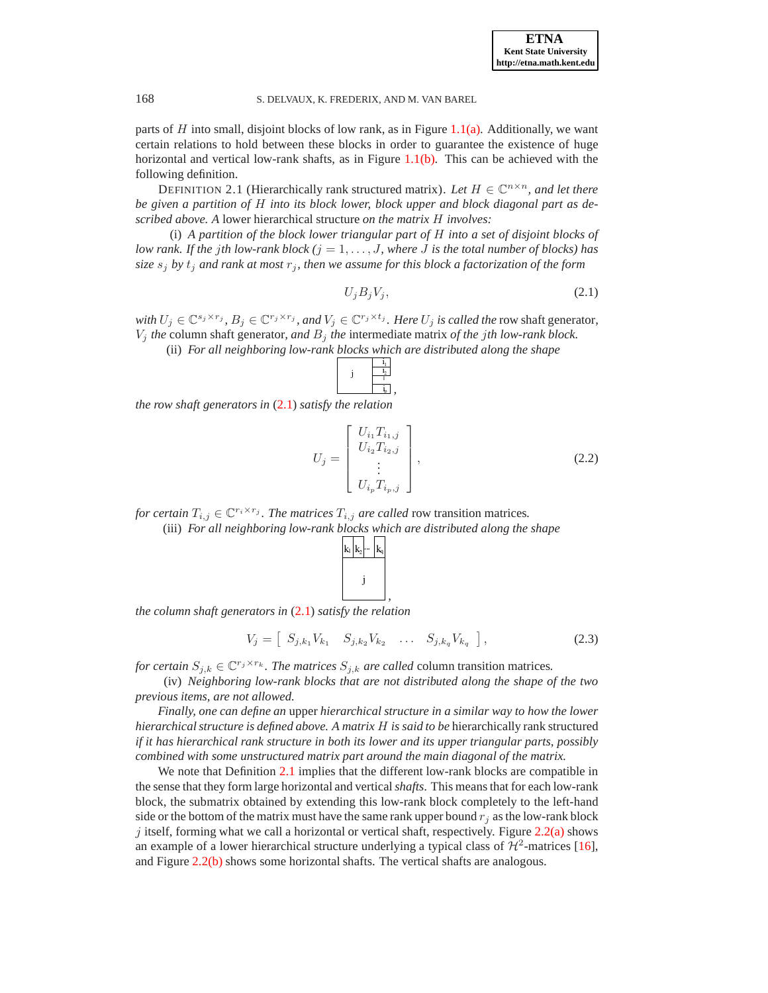parts of H into small, disjoint blocks of low rank, as in Figure [1.1\(a\).](#page-1-0) Additionally, we want certain relations to hold between these blocks in order to guarantee the existence of huge horizontal and vertical low-rank shafts, as in Figure  $1.1(b)$ . This can be achieved with the following definition.

<span id="page-5-1"></span>DEFINITION 2.1 (Hierarchically rank structured matrix). Let  $H \in \mathbb{C}^{n \times n}$ , and let there *be given a partition of* H *into its block lower, block upper and block diagonal part as described above. A* lower hierarchical structure *on the matrix* H *involves:*

(i) *A partition of the block lower triangular part of* H *into a set of disjoint blocks of low rank. If the jth low-rank block*  $(j = 1, \ldots, J$ , where J is the total number of blocks) has *size*  $s_j$  *by*  $t_j$  *and rank at most*  $r_j$ *, then we assume for this block a factorization of the form* 

<span id="page-5-0"></span>
$$
U_j B_j V_j, \tag{2.1}
$$

*with*  $U_j \in \mathbb{C}^{s_j \times r_j}$ ,  $B_j \in \mathbb{C}^{r_j \times r_j}$ , and  $V_j \in \mathbb{C}^{r_j \times t_j}$ . Here  $U_j$  *is called the* row shaft generator,  $V_j$  *the* column shaft generator, and  $B_j$  *the* intermediate matrix *of the jth low-rank block.* 

(ii) *For all neighboring low-rank blocks which are distributed along the shape*

$$
j \left(\begin{array}{c|c} i_1 \\ \hline i_2 \\ \hline i_3 \\ \hline i_1 \\ \hline i_p \\ \end{array}\right),
$$

*the row shaft generators in* [\(2.1\)](#page-5-0) *satisfy the relation*

<span id="page-5-2"></span>
$$
U_j = \begin{bmatrix} U_{i_1} T_{i_1, j} \\ U_{i_2} T_{i_2, j} \\ \vdots \\ U_{i_p} T_{i_p, j} \end{bmatrix},
$$
\n(2.2)

*for certain*  $T_{i,j} \in \mathbb{C}^{r_i \times r_j}$ *. The matrices*  $T_{i,j}$  *are called* row transition matrices.

(iii) *For all neighboring low-rank blocks which are distributed along the shape*

 $\mathbf{k}_1 | \mathbf{k}_2 | \cdots | \mathbf{k}_q$ j ... *,*

*the column shaft generators in* [\(2.1\)](#page-5-0) *satisfy the relation*

<span id="page-5-3"></span>
$$
V_j = \left[ S_{j,k_1} V_{k_1} \quad S_{j,k_2} V_{k_2} \quad \dots \quad S_{j,k_q} V_{k_q} \right], \tag{2.3}
$$

*for certain*  $S_{j,k} \in \mathbb{C}^{r_j \times r_k}$ *. The matrices*  $S_{j,k}$  *are called* column transition matrices.

(iv) *Neighboring low-rank blocks that are not distributed along the shape of the two previous items, are not allowed.*

*Finally, one can define an* upper *hierarchical structure in a similar way to how the lower hierarchical structure is defined above. A matrix* H *is said to be* hierarchically rank structured *if it has hierarchical rank structure in both its lower and its upper triangular parts, possibly combined with some unstructured matrix part around the main diagonal of the matrix.*

We note that Definition [2.1](#page-5-1) implies that the different low-rank blocks are compatible in the sense that they form large horizontal and vertical*shafts*. This means that for each low-rank block, the submatrix obtained by extending this low-rank block completely to the left-hand side or the bottom of the matrix must have the same rank upper bound  $r_i$  as the low-rank block j itself, forming what we call a horizontal or vertical shaft, respectively. Figure  $2.2(a)$  shows an example of a lower hierarchical structure underlying a typical class of  $\mathcal{H}^2$ -matrices [\[16](#page-25-2)], and Figure [2.2\(b\)](#page-6-2) shows some horizontal shafts. The vertical shafts are analogous.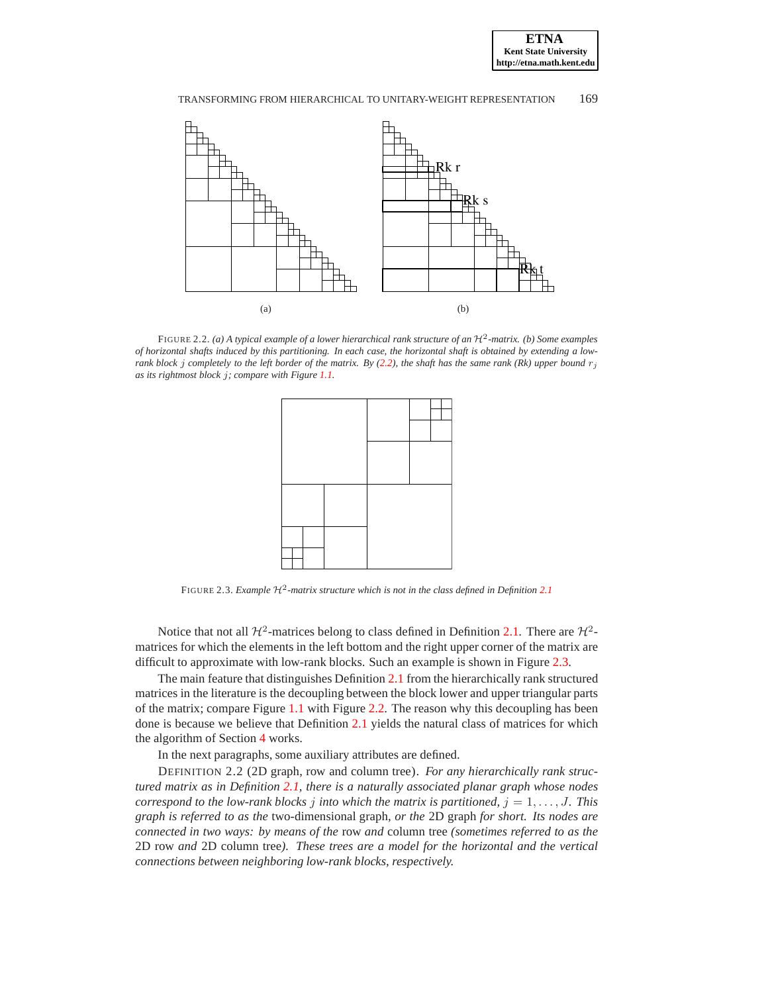

<span id="page-6-1"></span>

FIGURE 2.2. (a) A typical example of a lower hierarchical rank structure of an  $\mathcal{H}^2$ -matrix. (b) Some examples *of horizontal shafts induced by this partitioning. In each case, the horizontal shaft is obtained by extending a lowrank block j completely to the left border of the matrix. By* [\(2.2\)](#page-5-2)*, the shaft has the same rank* (Rk) upper bound  $r_i$ *as its rightmost block* j*; compare with Figure [1.1.](#page-1-2)*

<span id="page-6-3"></span><span id="page-6-2"></span>

<span id="page-6-0"></span>FIGURE 2.3. *Example*  $H^2$ -matrix structure which is not in the class defined in Definition [2.1](#page-5-1)

Notice that not all  $\mathcal{H}^2$ -matrices belong to class defined in Definition [2.1.](#page-5-1) There are  $\mathcal{H}^2$ matrices for which the elements in the left bottom and the right upper corner of the matrix are difficult to approximate with low-rank blocks. Such an example is shown in Figure [2.3.](#page-6-0)

The main feature that distinguishes Definition [2.1](#page-5-1) from the hierarchically rank structured matrices in the literature is the decoupling between the block lower and upper triangular parts of the matrix; compare Figure [1.1](#page-1-2) with Figure [2.2.](#page-6-3) The reason why this decoupling has been done is because we believe that Definition [2.1](#page-5-1) yields the natural class of matrices for which the algorithm of Section [4](#page-9-1) works.

In the next paragraphs, some auxiliary attributes are defined.

<span id="page-6-4"></span>DEFINITION 2.2 (2D graph, row and column tree). *For any hierarchically rank structured matrix as in Definition [2.1,](#page-5-1) there is a naturally associated planar graph whose nodes correspond to the low-rank blocks*  $j$  *into which the matrix is partitioned,*  $j = 1, \ldots, J$ *. This graph is referred to as the* two-dimensional graph*, or the* 2D graph *for short. Its nodes are connected in two ways: by means of the* row *and* column tree *(sometimes referred to as the* 2D row *and* 2D column tree*). These trees are a model for the horizontal and the vertical connections between neighboring low-rank blocks, respectively.*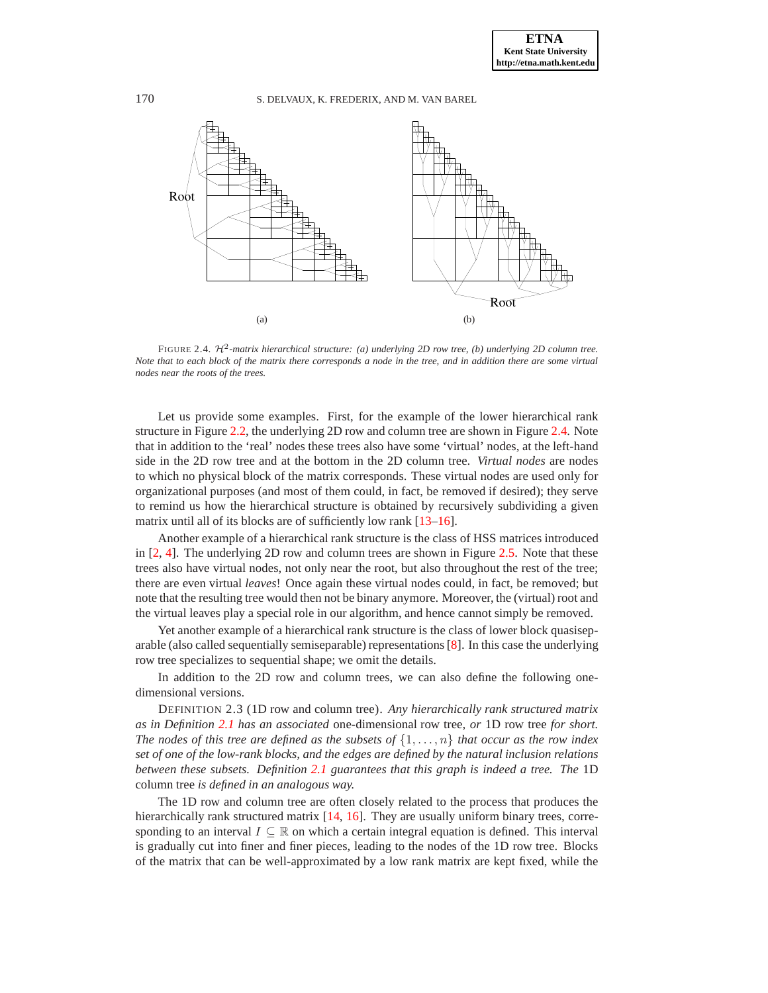<span id="page-7-1"></span>

<span id="page-7-0"></span>FIGURE 2.4. H<sup>2</sup>-matrix hierarchical structure: (a) underlying 2D row tree, (b) underlying 2D column tree. *Note that to each block of the matrix there corresponds a node in the tree, and in addition there are some virtual nodes near the roots of the trees.*

Let us provide some examples. First, for the example of the lower hierarchical rank structure in Figure [2.2,](#page-6-3) the underlying 2D row and column tree are shown in Figure [2.4.](#page-7-0) Note that in addition to the 'real' nodes these trees also have some 'virtual' nodes, at the left-hand side in the 2D row tree and at the bottom in the 2D column tree. *Virtual nodes* are nodes to which no physical block of the matrix corresponds. These virtual nodes are used only for organizational purposes (and most of them could, in fact, be removed if desired); they serve to remind us how the hierarchical structure is obtained by recursively subdividing a given matrix until all of its blocks are of sufficiently low rank [\[13](#page-24-0)[–16](#page-25-2)].

Another example of a hierarchical rank structure is the class of HSS matrices introduced in [\[2,](#page-24-3) [4](#page-24-4)]. The underlying 2D row and column trees are shown in Figure [2.5.](#page-8-1) Note that these trees also have virtual nodes, not only near the root, but also throughout the rest of the tree; there are even virtual *leaves*! Once again these virtual nodes could, in fact, be removed; but note that the resulting tree would then not be binary anymore. Moreover, the (virtual) root and the virtual leaves play a special role in our algorithm, and hence cannot simply be removed.

Yet another example of a hierarchical rank structure is the class of lower block quasiseparable (also called sequentially semiseparable) representations [\[8\]](#page-24-7). In this case the underlying row tree specializes to sequential shape; we omit the details.

In addition to the 2D row and column trees, we can also define the following onedimensional versions.

DEFINITION 2.3 (1D row and column tree). *Any hierarchically rank structured matrix as in Definition [2.1](#page-5-1) has an associated* one-dimensional row tree*, or* 1D row tree *for short. The nodes of this tree are defined as the subsets of*  $\{1, \ldots, n\}$  *that occur as the row index set of one of the low-rank blocks, and the edges are defined by the natural inclusion relations between these subsets. Definition [2.1](#page-5-1) guarantees that this graph is indeed a tree. The* 1D column tree *is defined in an analogous way.*

The 1D row and column tree are often closely related to the process that produces the hierarchically rank structured matrix [\[14,](#page-24-2) [16](#page-25-2)]. They are usually uniform binary trees, corresponding to an interval  $I \subseteq \mathbb{R}$  on which a certain integral equation is defined. This interval is gradually cut into finer and finer pieces, leading to the nodes of the 1D row tree. Blocks of the matrix that can be well-approximated by a low rank matrix are kept fixed, while the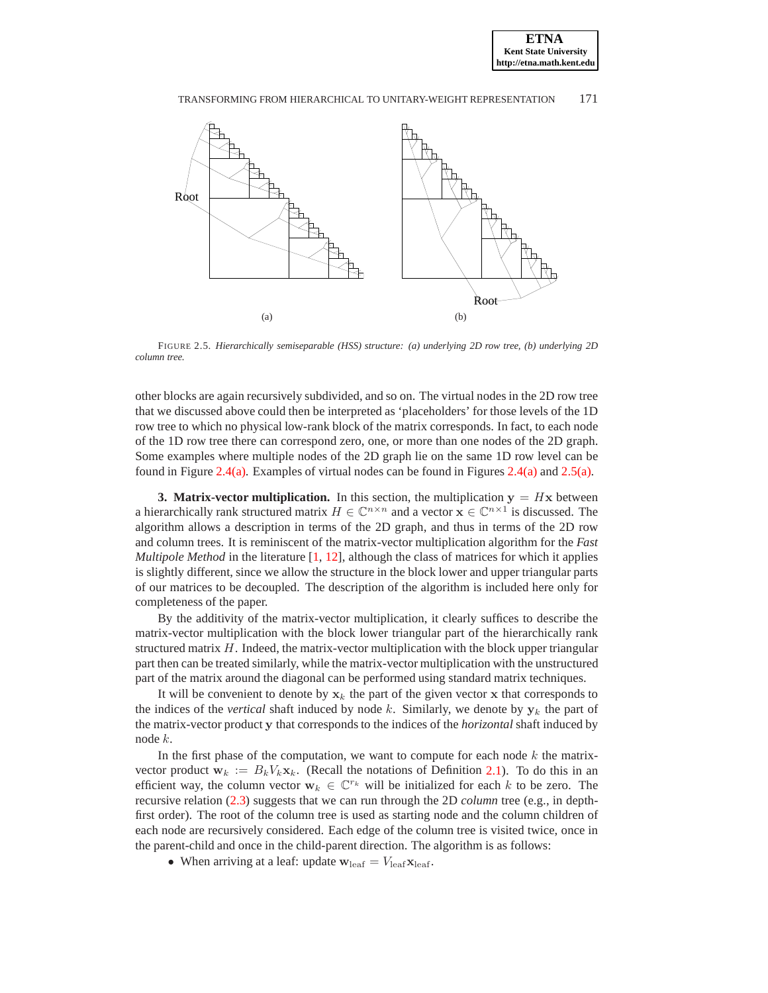

<span id="page-8-2"></span>

<span id="page-8-1"></span>FIGURE 2.5. *Hierarchically semiseparable (HSS) structure: (a) underlying 2D row tree, (b) underlying 2D column tree.*

other blocks are again recursively subdivided, and so on. The virtual nodes in the 2D row tree that we discussed above could then be interpreted as 'placeholders' for those levels of the 1D row tree to which no physical low-rank block of the matrix corresponds. In fact, to each node of the 1D row tree there can correspond zero, one, or more than one nodes of the 2D graph. Some examples where multiple nodes of the 2D graph lie on the same 1D row level can be found in Figure [2.4\(a\).](#page-7-1) Examples of virtual nodes can be found in Figures [2.4\(a\)](#page-7-1) and [2.5\(a\).](#page-8-2)

<span id="page-8-0"></span>**3. Matrix-vector multiplication.** In this section, the multiplication  $y = Hx$  between a hierarchically rank structured matrix  $H \in \mathbb{C}^{n \times n}$  and a vector  $\mathbf{x} \in \mathbb{C}^{n \times 1}$  is discussed. The algorithm allows a description in terms of the 2D graph, and thus in terms of the 2D row and column trees. It is reminiscent of the matrix-vector multiplication algorithm for the *Fast Multipole Method* in the literature [\[1,](#page-24-5) [12\]](#page-24-6), although the class of matrices for which it applies is slightly different, since we allow the structure in the block lower and upper triangular parts of our matrices to be decoupled. The description of the algorithm is included here only for completeness of the paper.

By the additivity of the matrix-vector multiplication, it clearly suffices to describe the matrix-vector multiplication with the block lower triangular part of the hierarchically rank structured matrix  $H$ . Indeed, the matrix-vector multiplication with the block upper triangular part then can be treated similarly, while the matrix-vector multiplication with the unstructured part of the matrix around the diagonal can be performed using standard matrix techniques.

It will be convenient to denote by  $x_k$  the part of the given vector x that corresponds to the indices of the *vertical* shaft induced by node k. Similarly, we denote by  $y_k$  the part of the matrix-vector product y that corresponds to the indices of the *horizontal* shaft induced by node k.

In the first phase of the computation, we want to compute for each node  $k$  the matrixvector product  $w_k := B_k V_k x_k$ . (Recall the notations of Definition [2.1\)](#page-5-1). To do this in an efficient way, the column vector  $w_k \in \mathbb{C}^{r_k}$  will be initialized for each k to be zero. The recursive relation [\(2.3\)](#page-5-3) suggests that we can run through the 2D *column* tree (e.g., in depthfirst order). The root of the column tree is used as starting node and the column children of each node are recursively considered. Each edge of the column tree is visited twice, once in the parent-child and once in the child-parent direction. The algorithm is as follows:

• When arriving at a leaf: update  $\mathbf{w}_{\text{leaf}} = V_{\text{leaf}} \mathbf{x}_{\text{leaf}}$ .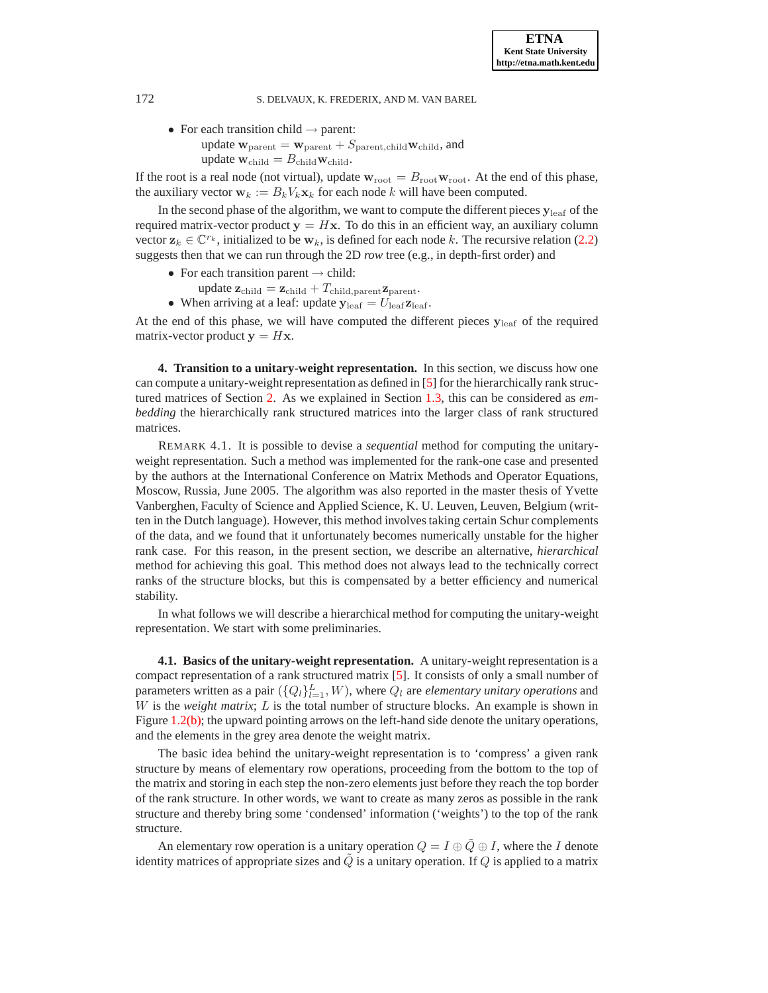• For each transition child  $\rightarrow$  parent: update  $\mathbf{w}_{\text{parent}} = \mathbf{w}_{\text{parent}} + S_{\text{parent},\text{child}} \mathbf{w}_{\text{child}}$ , and update  $\mathbf{w}_{child} = B_{child}\mathbf{w}_{child}$ .

If the root is a real node (not virtual), update  $w_{\text{root}} = B_{\text{root}} w_{\text{root}}$ . At the end of this phase, the auxiliary vector  $\mathbf{w}_k := B_k V_k \mathbf{x}_k$  for each node k will have been computed.

In the second phase of the algorithm, we want to compute the different pieces  $y_{\text{leaf}}$  of the required matrix-vector product  $y = Hx$ . To do this in an efficient way, an auxiliary column vector  $z_k \in \mathbb{C}^{r_k}$ , initialized to be  $w_k$ , is defined for each node k. The recursive relation [\(2.2\)](#page-5-2) suggests then that we can run through the 2D *row* tree (e.g., in depth-first order) and

- For each transition parent  $\rightarrow$  child:
- update  $\mathbf{z}_{child} = \mathbf{z}_{child} + T_{child,parent}\mathbf{z}_{parent}.$
- When arriving at a leaf: update  $y_{\text{leaf}} = U_{\text{leaf}} \mathbf{z}_{\text{leaf}}$ .

At the end of this phase, we will have computed the different pieces  $y_{\text{leaf}}$  of the required matrix-vector product  $y = Hx$ .

<span id="page-9-1"></span>**4. Transition to a unitary-weight representation.** In this section, we discuss how one can compute a unitary-weight representation as defined in [\[5](#page-24-8)] for the hierarchically rank structured matrices of Section [2.](#page-4-0) As we explained in Section [1.3,](#page-2-4) this can be considered as *embedding* the hierarchically rank structured matrices into the larger class of rank structured matrices.

REMARK 4.1. It is possible to devise a *sequential* method for computing the unitaryweight representation. Such a method was implemented for the rank-one case and presented by the authors at the International Conference on Matrix Methods and Operator Equations, Moscow, Russia, June 2005. The algorithm was also reported in the master thesis of Yvette Vanberghen, Faculty of Science and Applied Science, K. U. Leuven, Leuven, Belgium (written in the Dutch language). However, this method involves taking certain Schur complements of the data, and we found that it unfortunately becomes numerically unstable for the higher rank case. For this reason, in the present section, we describe an alternative, *hierarchical* method for achieving this goal. This method does not always lead to the technically correct ranks of the structure blocks, but this is compensated by a better efficiency and numerical stability.

In what follows we will describe a hierarchical method for computing the unitary-weight representation. We start with some preliminaries.

<span id="page-9-0"></span>**4.1. Basics of the unitary-weight representation.** A unitary-weight representation is a compact representation of a rank structured matrix [\[5](#page-24-8)]. It consists of only a small number of parameters written as a pair  $(\{Q_l\}_{l=1}^L, W)$ , where  $Q_l$  are *elementary unitary operations* and W is the *weight matrix*; L is the total number of structure blocks. An example is shown in Figure [1.2\(b\);](#page-2-2) the upward pointing arrows on the left-hand side denote the unitary operations, and the elements in the grey area denote the weight matrix.

The basic idea behind the unitary-weight representation is to 'compress' a given rank structure by means of elementary row operations, proceeding from the bottom to the top of the matrix and storing in each step the non-zero elements just before they reach the top border of the rank structure. In other words, we want to create as many zeros as possible in the rank structure and thereby bring some 'condensed' information ('weights') to the top of the rank structure.

An elementary row operation is a unitary operation  $Q = I \oplus \tilde{Q} \oplus I$ , where the I denote identity matrices of appropriate sizes and  $\tilde{Q}$  is a unitary operation. If Q is applied to a matrix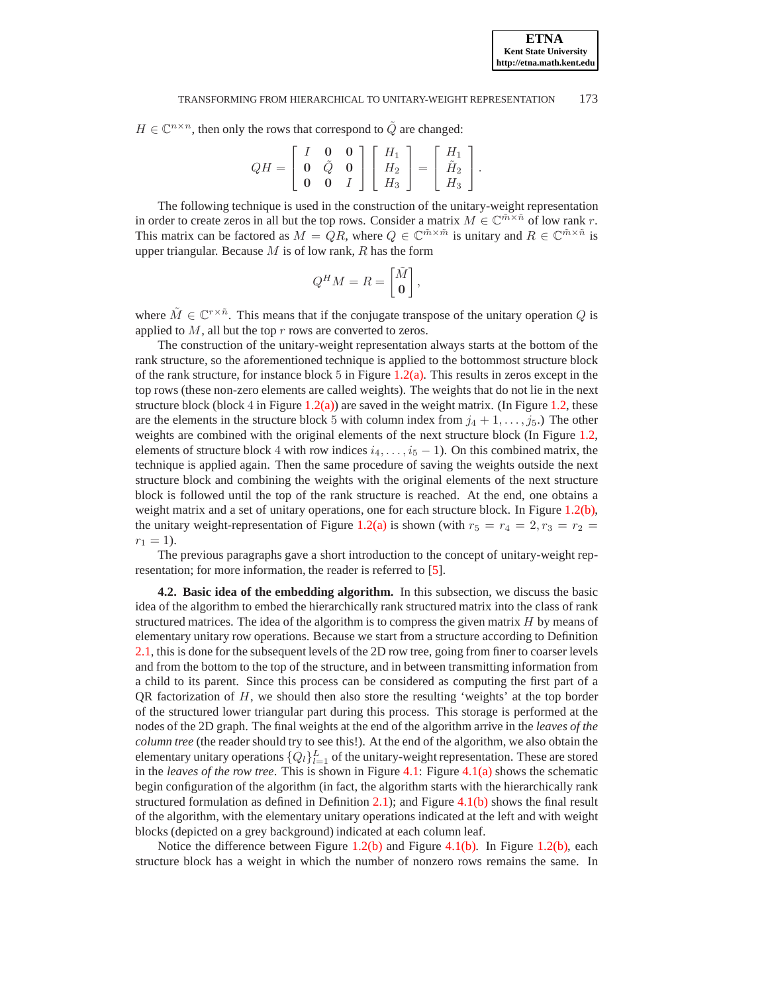$H \in \mathbb{C}^{n \times n}$ , then only the rows that correspond to  $\tilde{Q}$  are changed:

$$
QH = \left[ \begin{array}{ccc} I & \mathbf{0} & \mathbf{0} \\ \mathbf{0} & \tilde{Q} & \mathbf{0} \\ \mathbf{0} & \mathbf{0} & I \end{array} \right] \left[ \begin{array}{c} H_1 \\ H_2 \\ H_3 \end{array} \right] = \left[ \begin{array}{c} H_1 \\ \tilde{H}_2 \\ H_3 \end{array} \right].
$$

The following technique is used in the construction of the unitary-weight representation in order to create zeros in all but the top rows. Consider a matrix  $M \in \mathbb{C}^{\tilde{m} \times \tilde{n}}$  of low rank r. This matrix can be factored as  $M = QR$ , where  $Q \in \mathbb{C}^{\tilde{m} \times \tilde{m}}$  is unitary and  $R \in \mathbb{C}^{\tilde{m} \times \tilde{n}}$  is upper triangular. Because  $M$  is of low rank,  $R$  has the form

$$
Q^H M = R = \begin{bmatrix} \tilde{M} \\ \mathbf{0} \end{bmatrix},
$$

where  $\tilde{M} \in \mathbb{C}^{r \times \tilde{n}}$ . This means that if the conjugate transpose of the unitary operation Q is applied to  $M$ , all but the top  $r$  rows are converted to zeros.

The construction of the unitary-weight representation always starts at the bottom of the rank structure, so the aforementioned technique is applied to the bottommost structure block of the rank structure, for instance block 5 in Figure  $1.2(a)$ . This results in zeros except in the top rows (these non-zero elements are called weights). The weights that do not lie in the next structure block (block 4 in Figure [1.2\(a\)\)](#page-2-1) are saved in the weight matrix. (In Figure [1.2,](#page-2-5) these are the elements in the structure block 5 with column index from  $j_4 + 1, \ldots, j_5$ .) The other weights are combined with the original elements of the next structure block (In Figure [1.2,](#page-2-5) elements of structure block 4 with row indices  $i_4, \ldots, i_5 - 1$ ). On this combined matrix, the technique is applied again. Then the same procedure of saving the weights outside the next structure block and combining the weights with the original elements of the next structure block is followed until the top of the rank structure is reached. At the end, one obtains a weight matrix and a set of unitary operations, one for each structure block. In Figure [1.2\(b\),](#page-2-2) the unitary weight-representation of Figure [1.2\(a\)](#page-2-1) is shown (with  $r_5 = r_4 = 2, r_3 = r_2 =$  $r_1 = 1$ ).

The previous paragraphs gave a short introduction to the concept of unitary-weight representation; for more information, the reader is referred to [\[5\]](#page-24-8).

**4.2. Basic idea of the embedding algorithm.** In this subsection, we discuss the basic idea of the algorithm to embed the hierarchically rank structured matrix into the class of rank structured matrices. The idea of the algorithm is to compress the given matrix  $H$  by means of elementary unitary row operations. Because we start from a structure according to Definition [2.1,](#page-5-1) this is done for the subsequent levels of the 2D row tree, going from finer to coarser levels and from the bottom to the top of the structure, and in between transmitting information from a child to its parent. Since this process can be considered as computing the first part of a QR factorization of  $H$ , we should then also store the resulting 'weights' at the top border of the structured lower triangular part during this process. This storage is performed at the nodes of the 2D graph. The final weights at the end of the algorithm arrive in the *leaves of the column tree* (the reader should try to see this!). At the end of the algorithm, we also obtain the elementary unitary operations  $\{Q_l\}_{l=1}^L$  of the unitary-weight representation. These are stored in the *leaves of the row tree*. This is shown in Figure [4.1:](#page-11-0) Figure [4.1\(a\)](#page-11-1) shows the schematic begin configuration of the algorithm (in fact, the algorithm starts with the hierarchically rank structured formulation as defined in Definition [2.1\)](#page-5-1); and Figure [4.1\(b\)](#page-11-2) shows the final result of the algorithm, with the elementary unitary operations indicated at the left and with weight blocks (depicted on a grey background) indicated at each column leaf.

Notice the difference between Figure [1.2\(b\)](#page-2-2) and Figure [4.1\(b\).](#page-11-2) In Figure [1.2\(b\),](#page-2-2) each structure block has a weight in which the number of nonzero rows remains the same. In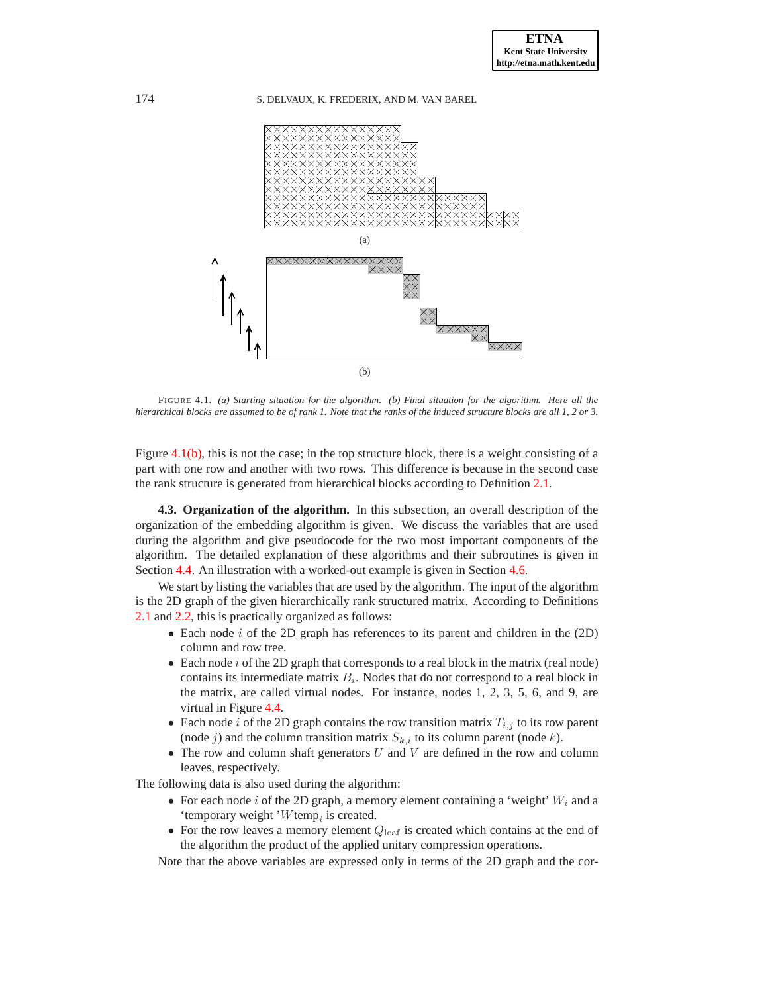<span id="page-11-1"></span>

<span id="page-11-2"></span><span id="page-11-0"></span>FIGURE 4.1. *(a) Starting situation for the algorithm. (b) Final situation for the algorithm. Here all the hierarchical blocks are assumed to be of rank 1. Note that the ranks of the induced structure blocks are all 1, 2 or 3.*

Figure  $4.1(b)$ , this is not the case; in the top structure block, there is a weight consisting of a part with one row and another with two rows. This difference is because in the second case the rank structure is generated from hierarchical blocks according to Definition [2.1.](#page-5-1)

<span id="page-11-3"></span>**4.3. Organization of the algorithm.** In this subsection, an overall description of the organization of the embedding algorithm is given. We discuss the variables that are used during the algorithm and give pseudocode for the two most important components of the algorithm. The detailed explanation of these algorithms and their subroutines is given in Section [4.4.](#page-13-0) An illustration with a worked-out example is given in Section [4.6.](#page-18-0)

We start by listing the variables that are used by the algorithm. The input of the algorithm is the 2D graph of the given hierarchically rank structured matrix. According to Definitions [2.1](#page-5-1) and [2.2,](#page-6-4) this is practically organized as follows:

- Each node i of the 2D graph has references to its parent and children in the  $(2D)$ column and row tree.
- Each node  $i$  of the 2D graph that corresponds to a real block in the matrix (real node) contains its intermediate matrix  $B_i$ . Nodes that do not correspond to a real block in the matrix, are called virtual nodes. For instance, nodes 1, 2, 3, 5, 6, and 9, are virtual in Figure [4.4.](#page-18-1)
- Each node *i* of the 2D graph contains the row transition matrix  $T_{i,j}$  to its row parent (node j) and the column transition matrix  $S_{k,i}$  to its column parent (node k).
- The row and column shaft generators  $U$  and  $V$  are defined in the row and column leaves, respectively.

The following data is also used during the algorithm:

- For each node i of the 2D graph, a memory element containing a 'weight'  $W_i$  and a 'temporary weight ' $W$ temp<sub>i</sub> is created.
- For the row leaves a memory element  $Q_{\text{leaf}}$  is created which contains at the end of the algorithm the product of the applied unitary compression operations.

Note that the above variables are expressed only in terms of the 2D graph and the cor-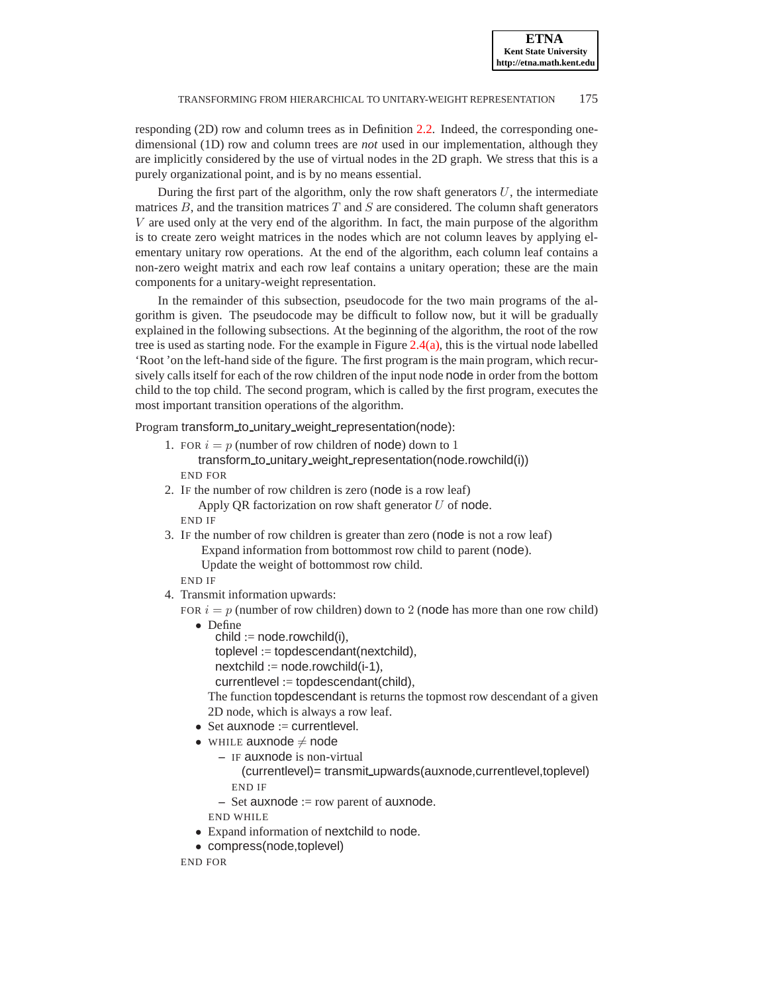responding (2D) row and column trees as in Definition [2.2.](#page-6-4) Indeed, the corresponding onedimensional (1D) row and column trees are *not* used in our implementation, although they are implicitly considered by the use of virtual nodes in the 2D graph. We stress that this is a purely organizational point, and is by no means essential.

During the first part of the algorithm, only the row shaft generators  $U$ , the intermediate matrices  $B$ , and the transition matrices  $T$  and  $S$  are considered. The column shaft generators V are used only at the very end of the algorithm. In fact, the main purpose of the algorithm is to create zero weight matrices in the nodes which are not column leaves by applying elementary unitary row operations. At the end of the algorithm, each column leaf contains a non-zero weight matrix and each row leaf contains a unitary operation; these are the main components for a unitary-weight representation.

In the remainder of this subsection, pseudocode for the two main programs of the algorithm is given. The pseudocode may be difficult to follow now, but it will be gradually explained in the following subsections. At the beginning of the algorithm, the root of the row tree is used as starting node. For the example in Figure [2.4\(a\),](#page-7-1) this is the virtual node labelled 'Root 'on the left-hand side of the figure. The first program is the main program, which recursively calls itself for each of the row children of the input node node in order from the bottom child to the top child. The second program, which is called by the first program, executes the most important transition operations of the algorithm.

Program transform\_to\_unitary\_weight\_representation(node):

- 1. FOR  $i = p$  (number of row children of node) down to 1 transform\_to\_unitary\_weight\_representation(node.rowchild(i)) END FOR
- 2. IF the number of row children is zero (node is a row leaf) Apply OR factorization on row shaft generator  $U$  of node. END IF
- 3. IF the number of row children is greater than zero (node is not a row leaf) Expand information from bottommost row child to parent (node).

Update the weight of bottommost row child.

END IF

4. Transmit information upwards:

FOR  $i = p$  (number of row children) down to 2 (node has more than one row child)

- Define
	- $child := noderowchild(i),$

toplevel := topdescendant(nextchild),

 $nextchild := noderowchild(i-1),$ 

currentlevel := topdescendant(child),

The function topdescendant is returns the topmost row descendant of a given 2D node, which is always a row leaf.

- $\bullet$  Set auxnode := currentlevel.
- WHILE auxnode  $\neq$  node
	- **–** IF auxnode is non-virtual
		- (currentlevel)= transmit upwards(auxnode,currentlevel,toplevel) END IF
	- **–** Set auxnode := row parent of auxnode.

END WHILE

- Expand information of nextchild to node.
- compress(node,toplevel)

END FOR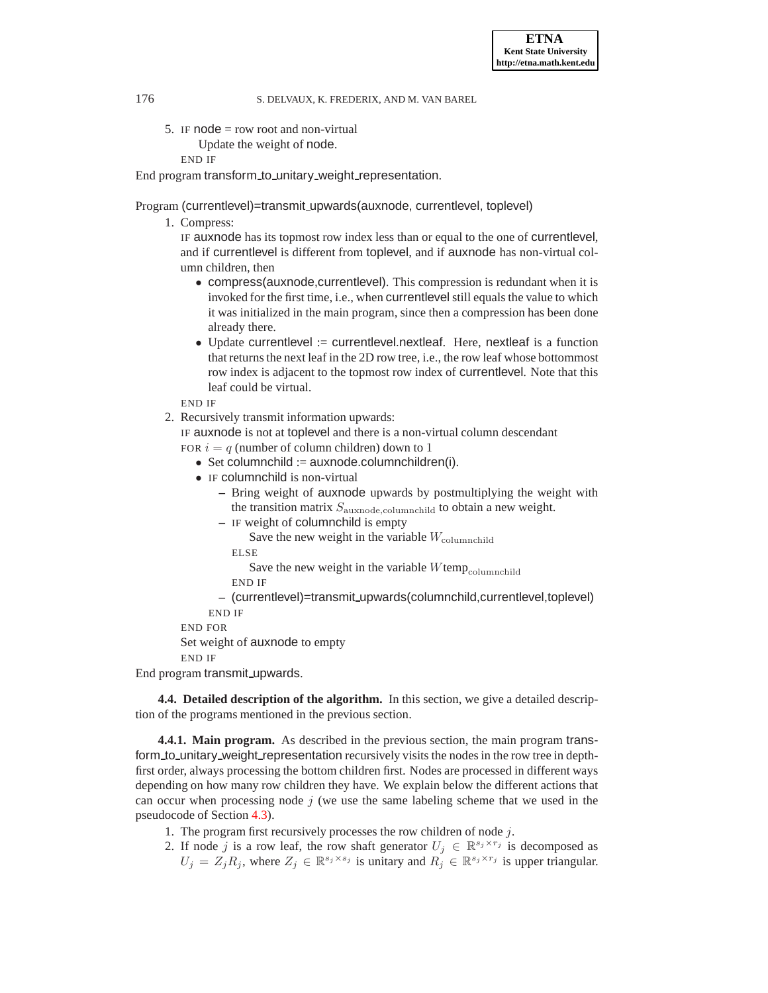5. IF  $node = row root$  and non-virtual

```
Update the weight of node.
```
END IF

End program transform\_to\_unitary\_weight\_representation.

Program (currentlevel)=transmit upwards(auxnode, currentlevel, toplevel)

1. Compress:

IF auxnode has its topmost row index less than or equal to the one of currentlevel, and if currentlevel is different from toplevel, and if auxnode has non-virtual column children, then

- compress(auxnode,currentlevel). This compression is redundant when it is invoked for the first time, i.e., when currentlevel still equals the value to which it was initialized in the main program, since then a compression has been done already there.
- Update currentlevel := currentlevel.nextleaf. Here, nextleaf is a function that returns the next leaf in the 2D row tree, i.e., the row leaf whose bottommost row index is adjacent to the topmost row index of currentlevel. Note that this leaf could be virtual.

END IF

2. Recursively transmit information upwards:

IF auxnode is not at toplevel and there is a non-virtual column descendant FOR  $i = q$  (number of column children) down to 1

- Set columnchild  $:=$  auxnode.columnchildren(i).
- IF columnchild is non-virtual
	- **–** Bring weight of auxnode upwards by postmultiplying the weight with the transition matrix  $S_{\text{auxnode,columnchild}}$  to obtain a new weight.
	- **–** IF weight of columnchild is empty

Save the new weight in the variable  $W_{\text{columnchild}}$ 

ELSE

Save the new weight in the variable  $W$ temp $_{\text{columnchild}}$ 

END IF

**–** (currentlevel)=transmit upwards(columnchild,currentlevel,toplevel) END IF

END FOR

Set weight of auxnode to empty

END IF

<span id="page-13-0"></span>End program transmit upwards.

**4.4. Detailed description of the algorithm.** In this section, we give a detailed description of the programs mentioned in the previous section.

**4.4.1. Main program.** As described in the previous section, the main program transform\_to\_unitary\_weight\_representation recursively visits the nodes in the row tree in depthfirst order, always processing the bottom children first. Nodes are processed in different ways depending on how many row children they have. We explain below the different actions that can occur when processing node  $j$  (we use the same labeling scheme that we used in the pseudocode of Section [4.3\)](#page-11-3).

- 1. The program first recursively processes the row children of node j.
- 2. If node j is a row leaf, the row shaft generator  $U_j \in \mathbb{R}^{s_j \times r_j}$  is decomposed as  $U_j = Z_j R_j$ , where  $Z_j \in \mathbb{R}^{s_j \times s_j}$  is unitary and  $R_j \in \mathbb{R}^{s_j \times r_j}$  is upper triangular.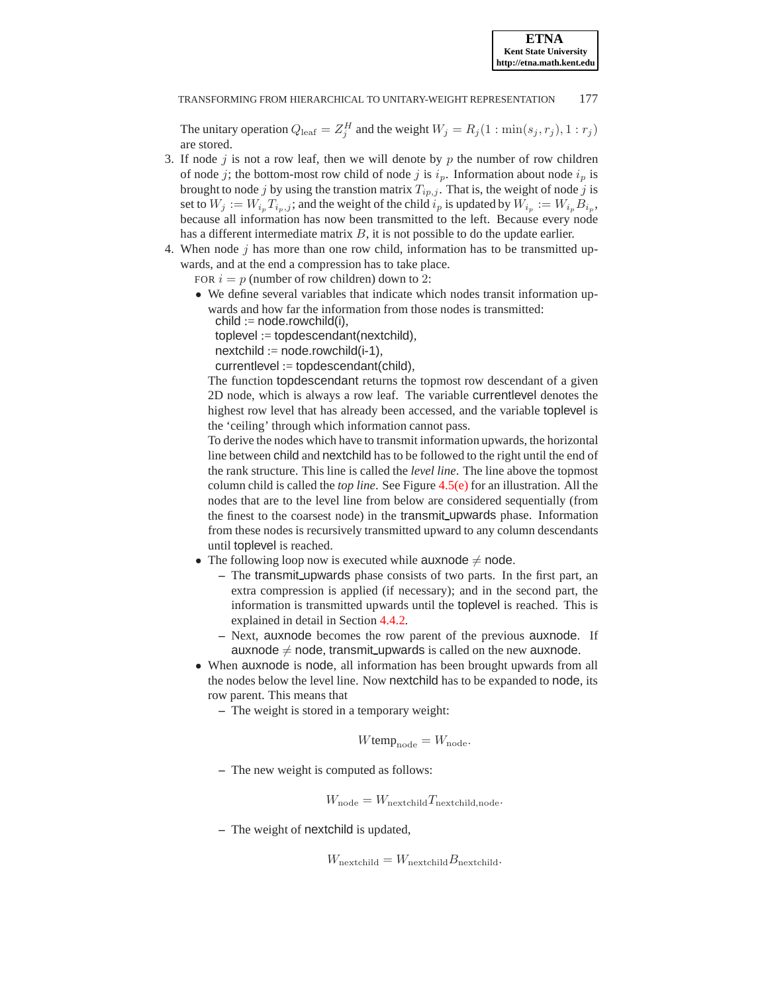The unitary operation  $Q_{\text{leaf}} = Z_j^H$  and the weight  $W_j = R_j(1 : \min(s_j, r_j), 1 : r_j)$ are stored.

- 3. If node  $j$  is not a row leaf, then we will denote by  $p$  the number of row children of node j; the bottom-most row child of node j is  $i_p$ . Information about node  $i_p$  is brought to node j by using the transtion matrix  $T_{ip,j}$ . That is, the weight of node j is set to  $W_j := W_{i_p} T_{i_p, j}$ ; and the weight of the child  $i_p$  is updated by  $W_{i_p} := W_{i_p} B_{i_p}$ , because all information has now been transmitted to the left. Because every node has a different intermediate matrix  $B$ , it is not possible to do the update earlier.
- 4. When node  $j$  has more than one row child, information has to be transmitted upwards, and at the end a compression has to take place.

FOR  $i = p$  (number of row children) down to 2:

• We define several variables that indicate which nodes transit information upwards and how far the information from those nodes is transmitted:  $child := node.roomchild(i),$ 

toplevel := topdescendant(nextchild),

 $nextchild := noderowchild(i-1),$ 

currentlevel := topdescendant(child),

The function topdescendant returns the topmost row descendant of a given 2D node, which is always a row leaf. The variable currentlevel denotes the highest row level that has already been accessed, and the variable toplevel is the 'ceiling' through which information cannot pass.

To derive the nodes which have to transmit information upwards, the horizontal line between child and nextchild has to be followed to the right until the end of the rank structure. This line is called the *level line*. The line above the topmost column child is called the *top line*. See Figure [4.5\(e\)](#page-21-1) for an illustration. All the nodes that are to the level line from below are considered sequentially (from the finest to the coarsest node) in the transmit upwards phase. Information from these nodes is recursively transmitted upward to any column descendants until toplevel is reached.

- The following loop now is executed while auxnode  $\neq$  node.
	- **–** The transmit upwards phase consists of two parts. In the first part, an extra compression is applied (if necessary); and in the second part, the information is transmitted upwards until the toplevel is reached. This is explained in detail in Section [4.4.2.](#page-15-0)
	- **–** Next, auxnode becomes the row parent of the previous auxnode. If auxnode  $\neq$  node, transmit upwards is called on the new auxnode.
- When auxnode is node, all information has been brought upwards from all the nodes below the level line. Now nextchild has to be expanded to node, its row parent. This means that
	- **–** The weight is stored in a temporary weight:

$$
W \text{temp}_{\text{node}} = W_{\text{node}}.
$$

**–** The new weight is computed as follows:

$$
W_{\text{node}} = W_{\text{nextchild}} T_{\text{nextchild}, \text{node}}.
$$

**–** The weight of nextchild is updated,

 $W_{\text{nextchild}} = W_{\text{nextchild}} B_{\text{nextchild}}.$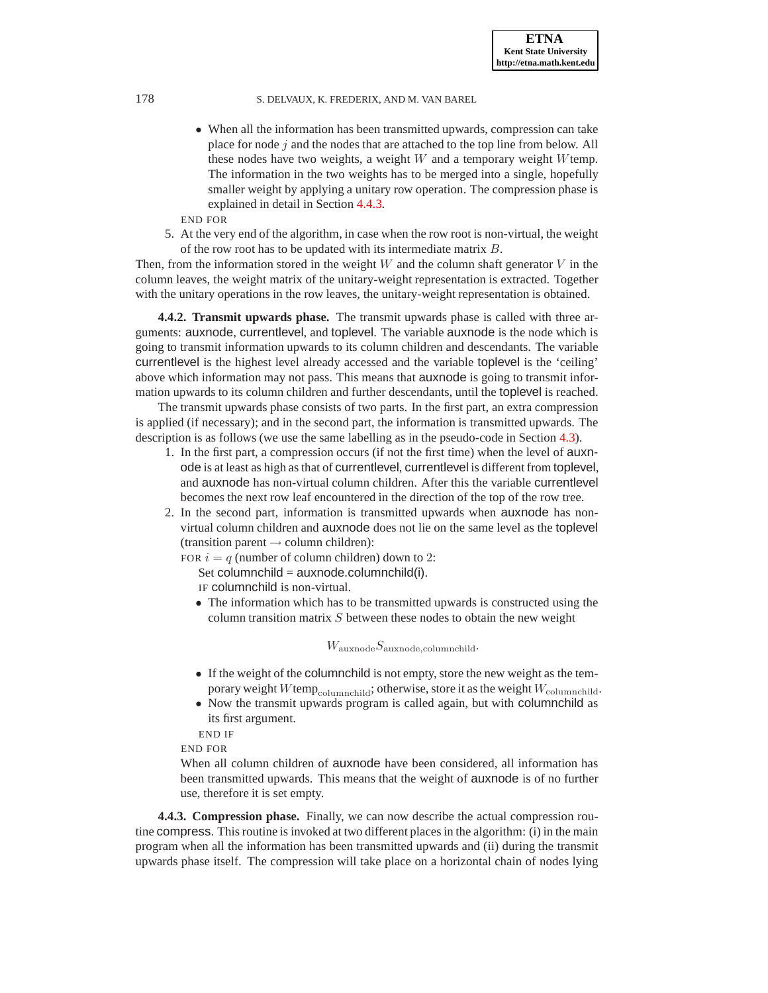• When all the information has been transmitted upwards, compression can take place for node  $j$  and the nodes that are attached to the top line from below. All these nodes have two weights, a weight  $W$  and a temporary weight  $W$  temp. The information in the two weights has to be merged into a single, hopefully smaller weight by applying a unitary row operation. The compression phase is explained in detail in Section [4.4.3.](#page-15-1)

END FOR

5. At the very end of the algorithm, in case when the row root is non-virtual, the weight of the row root has to be updated with its intermediate matrix B.

Then, from the information stored in the weight W and the column shaft generator  $V$  in the column leaves, the weight matrix of the unitary-weight representation is extracted. Together with the unitary operations in the row leaves, the unitary-weight representation is obtained.

<span id="page-15-0"></span>**4.4.2. Transmit upwards phase.** The transmit upwards phase is called with three arguments: auxnode, currentlevel, and toplevel. The variable auxnode is the node which is going to transmit information upwards to its column children and descendants. The variable currentlevel is the highest level already accessed and the variable toplevel is the 'ceiling' above which information may not pass. This means that auxnode is going to transmit information upwards to its column children and further descendants, until the toplevel is reached.

The transmit upwards phase consists of two parts. In the first part, an extra compression is applied (if necessary); and in the second part, the information is transmitted upwards. The description is as follows (we use the same labelling as in the pseudo-code in Section [4.3\)](#page-11-3).

- 1. In the first part, a compression occurs (if not the first time) when the level of auxnode is at least as high as that of currentlevel, currentlevel is different from toplevel, and auxnode has non-virtual column children. After this the variable currentlevel becomes the next row leaf encountered in the direction of the top of the row tree.
- 2. In the second part, information is transmitted upwards when auxnode has nonvirtual column children and auxnode does not lie on the same level as the toplevel  $(transition parent \rightarrow column children):$

FOR  $i = q$  (number of column children) down to 2:

Set columnchild =  $auxnode.columnchild(i)$ .

IF columnchild is non-virtual.

• The information which has to be transmitted upwards is constructed using the column transition matrix S between these nodes to obtain the new weight

 $W_{\rm auxnode} S_{\rm auxnode, columnchild}.$ 

- If the weight of the columnchild is not empty, store the new weight as the temporary weight Wtemp<sub>columnchild</sub>; otherwise, store it as the weight  $W_{\text{columnchild}}$ .
- Now the transmit upwards program is called again, but with columnchild as its first argument.

END IF

END FOR

When all column children of auxnode have been considered, all information has been transmitted upwards. This means that the weight of auxnode is of no further use, therefore it is set empty.

<span id="page-15-1"></span>**4.4.3. Compression phase.** Finally, we can now describe the actual compression routine compress. This routine is invoked at two different places in the algorithm: (i) in the main program when all the information has been transmitted upwards and (ii) during the transmit upwards phase itself. The compression will take place on a horizontal chain of nodes lying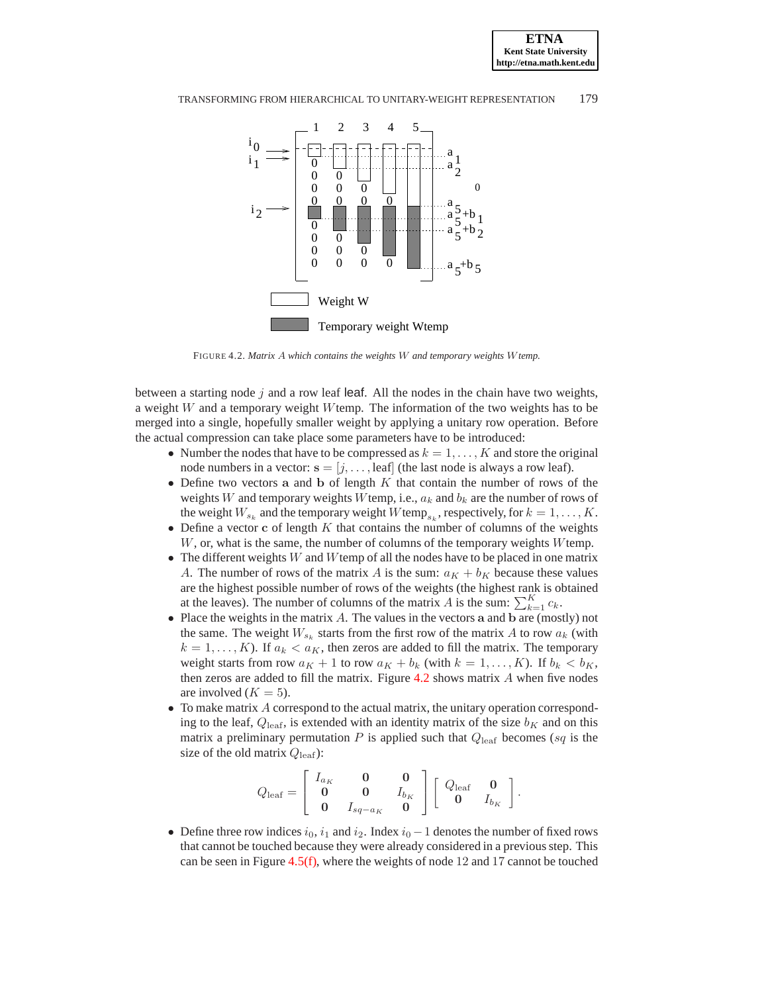

<span id="page-16-0"></span>FIGURE 4.2. *Matrix* A *which contains the weights* W *and temporary weights* W*temp.*

between a starting node  $j$  and a row leaf leaf. All the nodes in the chain have two weights, a weight W and a temporary weight Wtemp. The information of the two weights has to be merged into a single, hopefully smaller weight by applying a unitary row operation. Before the actual compression can take place some parameters have to be introduced:

- Number the nodes that have to be compressed as  $k = 1, \ldots, K$  and store the original node numbers in a vector:  $\mathbf{s} = [j, \dots, \text{leaf}]$  (the last node is always a row leaf).
- Define two vectors a and b of length  $K$  that contain the number of rows of the weights W and temporary weights W temp, i.e.,  $a_k$  and  $b_k$  are the number of rows of the weight  $W_{s_k}$  and the temporary weight  $W$ temp<sub>sk</sub>, respectively, for  $k = 1, ..., K$ .
- Define a vector c of length  $K$  that contains the number of columns of the weights W, or, what is the same, the number of columns of the temporary weights Wtemp.
- The different weights  $W$  and  $W$  temp of all the nodes have to be placed in one matrix A. The number of rows of the matrix A is the sum:  $a_K + b_K$  because these values are the highest possible number of rows of the weights (the highest rank is obtained at the leaves). The number of columns of the matrix A is the sum:  $\sum_{k=1}^{K} c_k$ .
- Place the weights in the matrix  $A$ . The values in the vectors a and  $b$  are (mostly) not the same. The weight  $W_{s_k}$  starts from the first row of the matrix A to row  $a_k$  (with  $k = 1, \ldots, K$ ). If  $a_k < a_K$ , then zeros are added to fill the matrix. The temporary weight starts from row  $a_K + 1$  to row  $a_K + b_k$  (with  $k = 1, ..., K$ ). If  $b_k < b_K$ , then zeros are added to fill the matrix. Figure [4.2](#page-16-0) shows matrix A when five nodes are involved  $(K = 5)$ .
- To make matrix A correspond to the actual matrix, the unitary operation corresponding to the leaf,  $Q_{\text{leaf}}$ , is extended with an identity matrix of the size  $b_K$  and on this matrix a preliminary permutation  $P$  is applied such that  $Q_{\text{leaf}}$  becomes (sq is the size of the old matrix  $Q_{\text{leaf}}$ ):

$$
Q_{\text{leaf}} = \left[ \begin{array}{ccc} I_{a_K} & \mathbf{0} & \mathbf{0} \\ \mathbf{0} & \mathbf{0} & I_{b_K} \\ \mathbf{0} & I_{sq-a_K} & \mathbf{0} \end{array} \right] \left[ \begin{array}{ccc} Q_{\text{leaf}} & \mathbf{0} \\ \mathbf{0} & I_{b_K} \end{array} \right].
$$

• Define three row indices  $i_0$ ,  $i_1$  and  $i_2$ . Index  $i_0 - 1$  denotes the number of fixed rows that cannot be touched because they were already considered in a previous step. This can be seen in Figure  $4.5(f)$ , where the weights of node 12 and 17 cannot be touched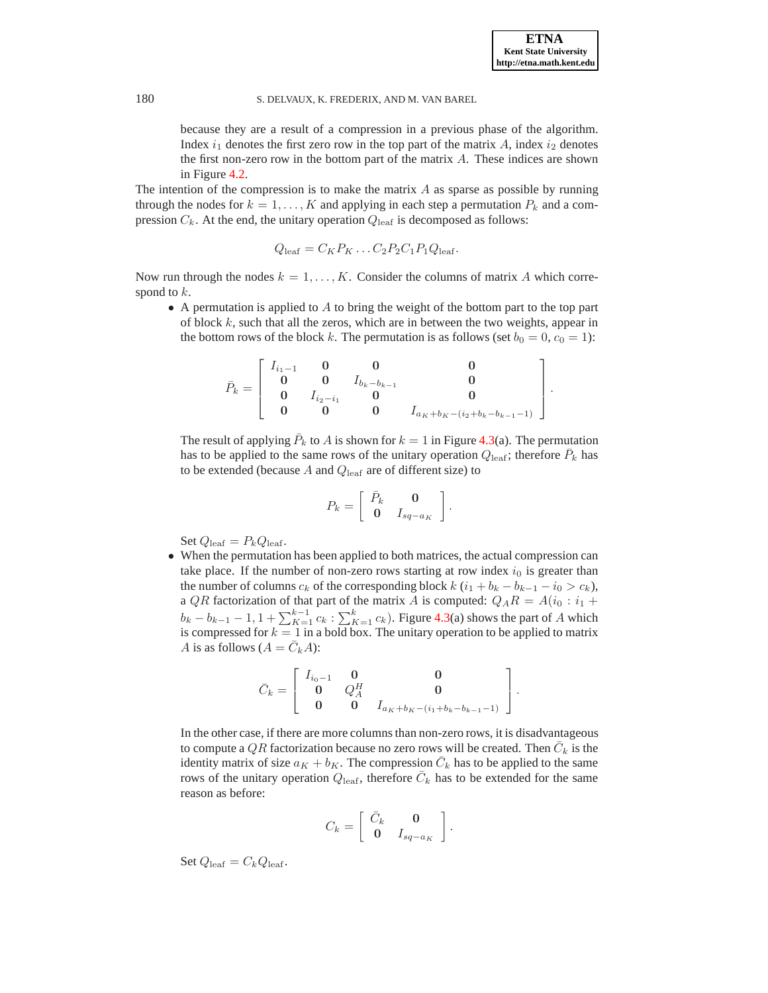because they are a result of a compression in a previous phase of the algorithm. Index  $i_1$  denotes the first zero row in the top part of the matrix A, index  $i_2$  denotes the first non-zero row in the bottom part of the matrix  $A$ . These indices are shown in Figure [4.2.](#page-16-0)

The intention of the compression is to make the matrix  $A$  as sparse as possible by running through the nodes for  $k = 1, \ldots, K$  and applying in each step a permutation  $P_k$  and a compression  $C_k$ . At the end, the unitary operation  $Q_{\text{leaf}}$  is decomposed as follows:

$$
Q_{\text{leaf}} = C_K P_K \dots C_2 P_2 C_1 P_1 Q_{\text{leaf}}.
$$

Now run through the nodes  $k = 1, \ldots, K$ . Consider the columns of matrix A which correspond to  $k$ .

• A permutation is applied to  $A$  to bring the weight of the bottom part to the top part of block k, such that all the zeros, which are in between the two weights, appear in the bottom rows of the block k. The permutation is as follows (set  $b_0 = 0, c_0 = 1$ ):

$$
\bar{P}_k = \left[\begin{array}{cccc} I_{i_1-1} & \mathbf{0} & \mathbf{0} & \mathbf{0} \\ \mathbf{0} & \mathbf{0} & I_{b_k-b_{k-1}} & \mathbf{0} \\ \mathbf{0} & I_{i_2-i_1} & \mathbf{0} & \mathbf{0} \\ \mathbf{0} & \mathbf{0} & \mathbf{0} & I_{a_K+b_K-(i_2+b_k-b_{k-1}-1)} \end{array}\right].
$$

The result of applying  $\bar{P}_k$  to A is shown for  $k = 1$  in Figure [4.3\(](#page-18-2)a). The permutation has to be applied to the same rows of the unitary operation  $Q_{\text{leaf}}$ ; therefore  $\bar{P}_k$  has to be extended (because  $A$  and  $Q_{\text{leaf}}$  are of different size) to

$$
P_k = \left[ \begin{array}{cc} \bar{P}_k & \mathbf{0} \\ \mathbf{0} & I_{sq-a_K} \end{array} \right].
$$

Set  $Q_{\text{leaf}} = P_k Q_{\text{leaf}}$ .

• When the permutation has been applied to both matrices, the actual compression can take place. If the number of non-zero rows starting at row index  $i_0$  is greater than the number of columns  $c_k$  of the corresponding block  $k$  ( $i_1 + b_k - b_{k-1} - i_0 > c_k$ ), a QR factorization of that part of the matrix A is computed:  $Q_A R = A(i_0 : i_1 +$  $b_k - b_{k-1} - 1$ ,  $1 + \sum_{K=1}^{k-1} c_k$ :  $\sum_{K=1}^{k} c_k$ ). Figure [4.3\(](#page-18-2)a) shows the part of A which is compressed for  $k = 1$  in a bold box. The unitary operation to be applied to matrix A is as follows  $(A = \overline{C}_k A)$ :

$$
\bar{C}_k = \left[ \begin{array}{ccc} I_{i_0-1} & \mathbf{0} & \mathbf{0} \\ \mathbf{0} & Q_A^H & \mathbf{0} \\ \mathbf{0} & \mathbf{0} & I_{a_K+b_K-(i_1+b_k-b_{k-1}-1)} \end{array} \right].
$$

In the other case, if there are more columns than non-zero rows, it is disadvantageous to compute a QR factorization because no zero rows will be created. Then  $\bar{C}_k$  is the identity matrix of size  $a_K + b_K$ . The compression  $\overline{C}_k$  has to be applied to the same rows of the unitary operation  $Q_{\text{leaf}}$ , therefore  $\bar{C}_k$  has to be extended for the same reason as before:

$$
C_k = \left[ \begin{array}{cc} \bar{C}_k & \mathbf{0} \\ \mathbf{0} & I_{sq-a_K} \end{array} \right].
$$

Set  $Q_{\text{leaf}} = C_k Q_{\text{leaf}}$ .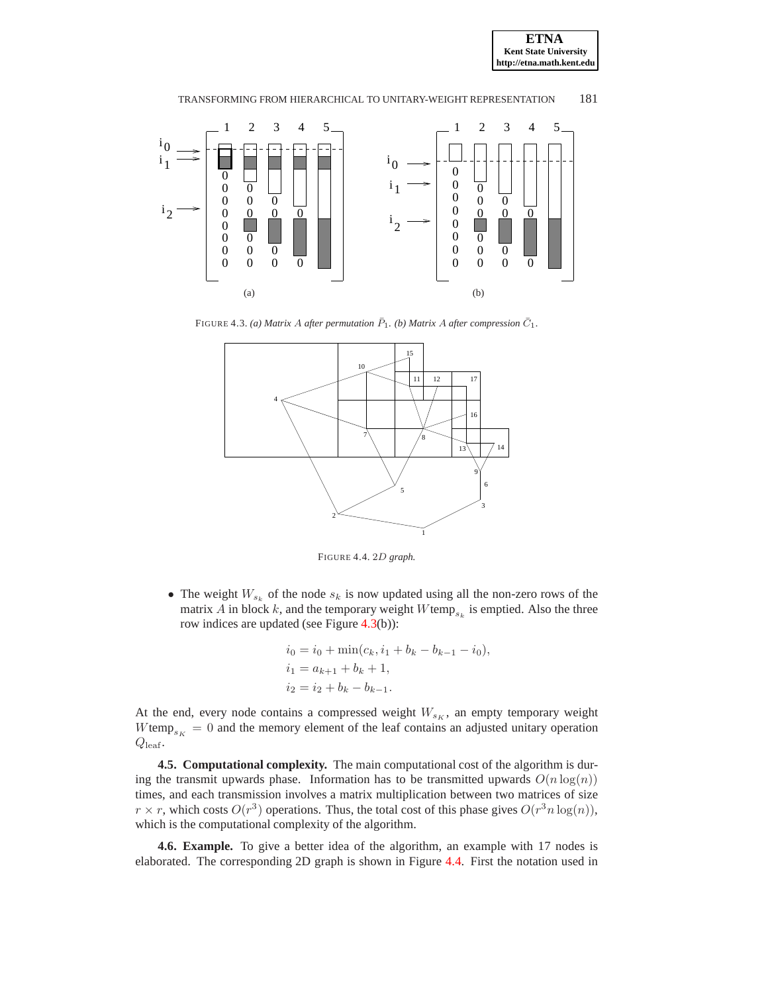



FIGURE 4.3. (a) Matrix A after permutation  $\bar{P}_1$ . (b) Matrix A after compression  $\bar{C}_1$ .

<span id="page-18-2"></span>

<span id="page-18-1"></span>FIGURE 4.4. 2D *graph.*

• The weight  $W_{s_k}$  of the node  $s_k$  is now updated using all the non-zero rows of the matrix A in block k, and the temporary weight  $W$ temp<sub>sk</sub> is emptied. Also the three row indices are updated (see Figure [4.3\(](#page-18-2)b)):

$$
i_0 = i_0 + \min(c_k, i_1 + b_k - b_{k-1} - i_0),
$$
  
\n
$$
i_1 = a_{k+1} + b_k + 1,
$$
  
\n
$$
i_2 = i_2 + b_k - b_{k-1}.
$$

At the end, every node contains a compressed weight  $W_{s_K}$ , an empty temporary weight Wtemp<sub>sK</sub> = 0 and the memory element of the leaf contains an adjusted unitary operation  $Q_{\text{leaf}}$ .

**4.5. Computational complexity.** The main computational cost of the algorithm is during the transmit upwards phase. Information has to be transmitted upwards  $O(n \log(n))$ times, and each transmission involves a matrix multiplication between two matrices of size  $r \times r$ , which costs  $O(r^3)$  operations. Thus, the total cost of this phase gives  $O(r^3 n \log(n))$ , which is the computational complexity of the algorithm.

<span id="page-18-0"></span>**4.6. Example.** To give a better idea of the algorithm, an example with 17 nodes is elaborated. The corresponding 2D graph is shown in Figure [4.4.](#page-18-1) First the notation used in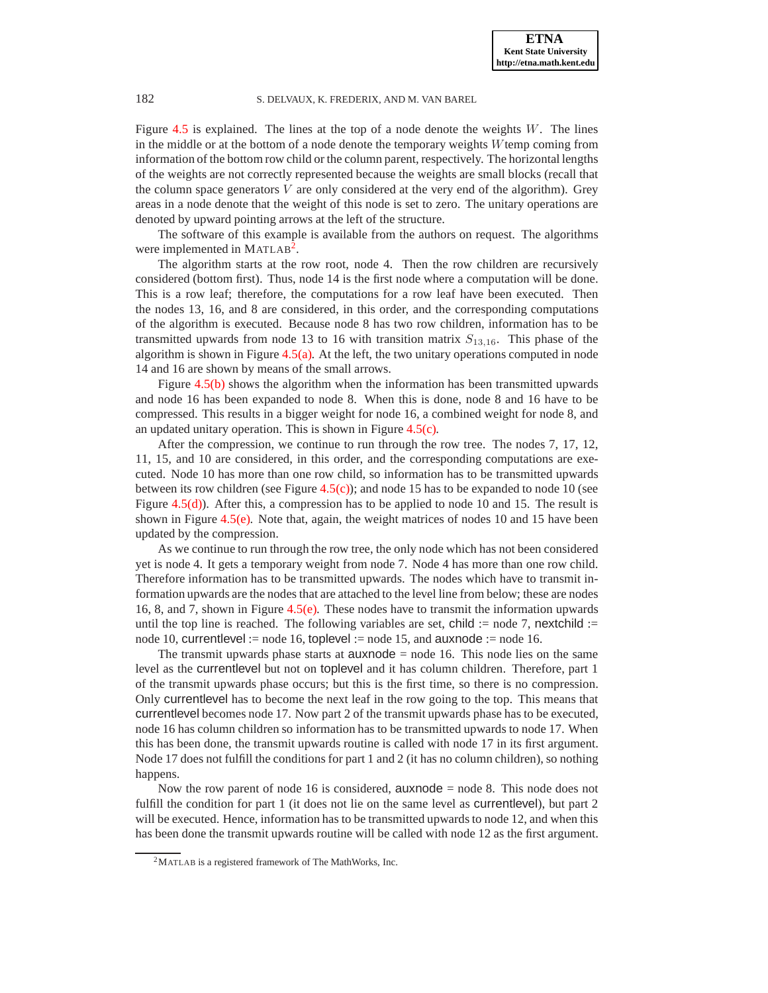Figure [4.5](#page-22-0) is explained. The lines at the top of a node denote the weights  $W$ . The lines in the middle or at the bottom of a node denote the temporary weights  $W$ temp coming from information of the bottom row child or the column parent, respectively. The horizontal lengths of the weights are not correctly represented because the weights are small blocks (recall that the column space generators  $V$  are only considered at the very end of the algorithm). Grey areas in a node denote that the weight of this node is set to zero. The unitary operations are denoted by upward pointing arrows at the left of the structure.

The software of this example is available from the authors on request. The algorithms were implemented in MATLAB<sup>[2](#page-19-0)</sup>.

The algorithm starts at the row root, node 4. Then the row children are recursively considered (bottom first). Thus, node 14 is the first node where a computation will be done. This is a row leaf; therefore, the computations for a row leaf have been executed. Then the nodes 13, 16, and 8 are considered, in this order, and the corresponding computations of the algorithm is executed. Because node 8 has two row children, information has to be transmitted upwards from node 13 to 16 with transition matrix  $S_{13,16}$ . This phase of the algorithm is shown in Figure [4.5\(a\).](#page-20-0) At the left, the two unitary operations computed in node 14 and 16 are shown by means of the small arrows.

Figure [4.5\(b\)](#page-20-1) shows the algorithm when the information has been transmitted upwards and node 16 has been expanded to node 8. When this is done, node 8 and 16 have to be compressed. This results in a bigger weight for node 16, a combined weight for node 8, and an updated unitary operation. This is shown in Figure [4.5\(c\).](#page-20-2)

After the compression, we continue to run through the row tree. The nodes 7, 17, 12, 11, 15, and 10 are considered, in this order, and the corresponding computations are executed. Node 10 has more than one row child, so information has to be transmitted upwards between its row children (see Figure  $4.5(c)$ ); and node 15 has to be expanded to node 10 (see Figure  $4.5(d)$ ). After this, a compression has to be applied to node 10 and 15. The result is shown in Figure  $4.5(e)$ . Note that, again, the weight matrices of nodes 10 and 15 have been updated by the compression.

As we continue to run through the row tree, the only node which has not been considered yet is node 4. It gets a temporary weight from node 7. Node 4 has more than one row child. Therefore information has to be transmitted upwards. The nodes which have to transmit information upwards are the nodes that are attached to the level line from below; these are nodes 16, 8, and 7, shown in Figure [4.5\(e\).](#page-21-1) These nodes have to transmit the information upwards until the top line is reached. The following variables are set, child := node 7, nextchild := node 10, currentlevel := node 16, toplevel := node 15, and auxnode := node 16.

The transmit upwards phase starts at  $auxnode = node 16$ . This node lies on the same level as the currentlevel but not on toplevel and it has column children. Therefore, part 1 of the transmit upwards phase occurs; but this is the first time, so there is no compression. Only currentlevel has to become the next leaf in the row going to the top. This means that currentlevel becomes node 17. Now part 2 of the transmit upwards phase has to be executed, node 16 has column children so information has to be transmitted upwards to node 17. When this has been done, the transmit upwards routine is called with node 17 in its first argument. Node 17 does not fulfill the conditions for part 1 and 2 (it has no column children), so nothing happens.

Now the row parent of node 16 is considered, auxnode  $=$  node 8. This node does not fulfill the condition for part 1 (it does not lie on the same level as **currentlevel**), but part 2 will be executed. Hence, information has to be transmitted upwards to node 12, and when this has been done the transmit upwards routine will be called with node 12 as the first argument.

<span id="page-19-0"></span><sup>2</sup>MATLAB is a registered framework of The MathWorks, Inc.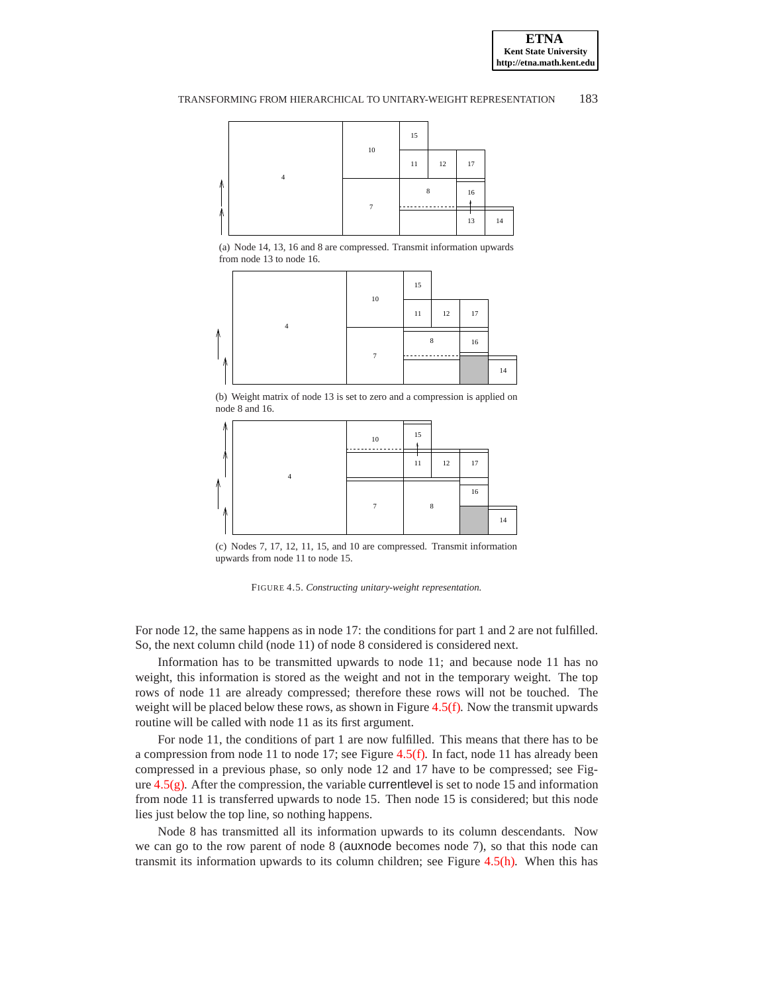<span id="page-20-0"></span>

(a) Node 14, 13, 16 and 8 are compressed. Transmit information upwards from node 13 to node 16.



<span id="page-20-1"></span>(b) Weight matrix of node 13 is set to zero and a compression is applied on node 8 and 16.



<span id="page-20-2"></span>(c) Nodes 7, 17, 12, 11, 15, and 10 are compressed. Transmit information upwards from node 11 to node 15.



For node 12, the same happens as in node 17: the conditions for part 1 and 2 are not fulfilled. So, the next column child (node 11) of node 8 considered is considered next.

Information has to be transmitted upwards to node 11; and because node 11 has no weight, this information is stored as the weight and not in the temporary weight. The top rows of node 11 are already compressed; therefore these rows will not be touched. The weight will be placed below these rows, as shown in Figure [4.5\(f\).](#page-21-2) Now the transmit upwards routine will be called with node 11 as its first argument.

For node 11, the conditions of part 1 are now fulfilled. This means that there has to be a compression from node 11 to node 17; see Figure [4.5\(f\).](#page-21-2) In fact, node 11 has already been compressed in a previous phase, so only node 12 and 17 have to be compressed; see Figure [4.5\(g\).](#page-22-1) After the compression, the variable currentlevel is set to node 15 and information from node 11 is transferred upwards to node 15. Then node 15 is considered; but this node lies just below the top line, so nothing happens.

Node 8 has transmitted all its information upwards to its column descendants. Now we can go to the row parent of node 8 (auxnode becomes node 7), so that this node can transmit its information upwards to its column children; see Figure [4.5\(h\).](#page-22-2) When this has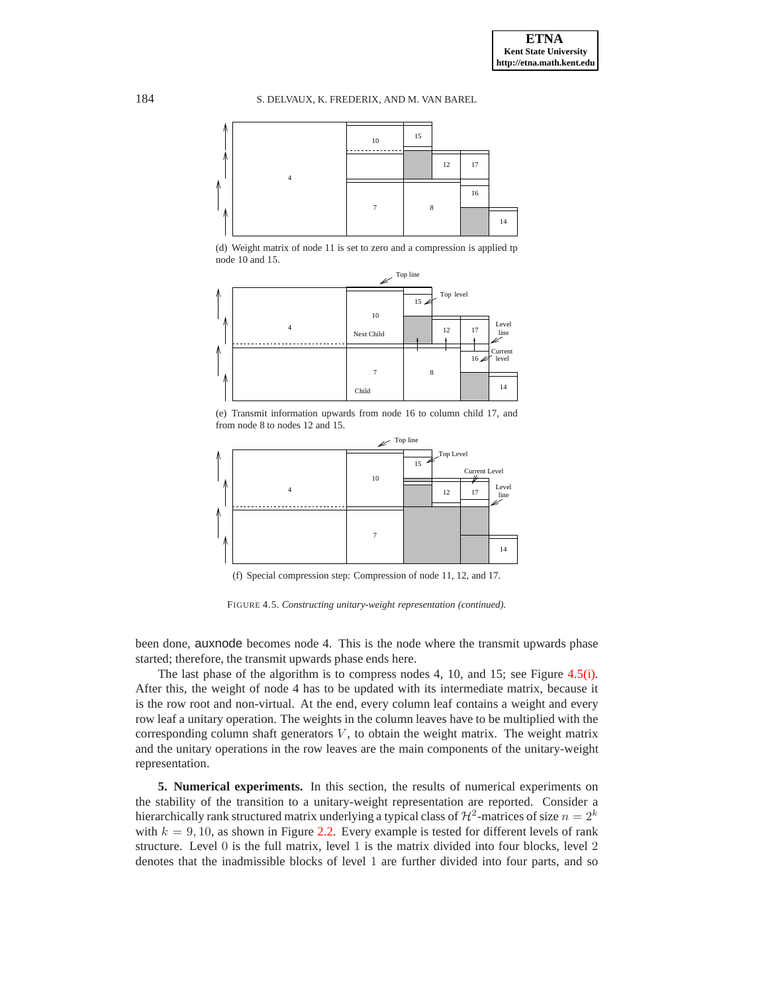<span id="page-21-3"></span>184 S. DELVAUX, K. FREDERIX, AND M. VAN BAREL



(d) Weight matrix of node 11 is set to zero and a compression is applied tp node 10 and 15.



<span id="page-21-1"></span>(e) Transmit information upwards from node 16 to column child 17, and from node 8 to nodes 12 and 15.



<span id="page-21-2"></span>(f) Special compression step: Compression of node 11, 12, and 17.

FIGURE 4.5. *Constructing unitary-weight representation (continued).*

been done, auxnode becomes node 4. This is the node where the transmit upwards phase started; therefore, the transmit upwards phase ends here.

The last phase of the algorithm is to compress nodes 4, 10, and 15; see Figure [4.5\(i\).](#page-22-3) After this, the weight of node 4 has to be updated with its intermediate matrix, because it is the row root and non-virtual. At the end, every column leaf contains a weight and every row leaf a unitary operation. The weights in the column leaves have to be multiplied with the corresponding column shaft generators  $V$ , to obtain the weight matrix. The weight matrix and the unitary operations in the row leaves are the main components of the unitary-weight representation.

<span id="page-21-0"></span>**5. Numerical experiments.** In this section, the results of numerical experiments on the stability of the transition to a unitary-weight representation are reported. Consider a hierarchically rank structured matrix underlying a typical class of  $\mathcal{H}^2$ -matrices of size  $n=2^k$ with  $k = 9, 10$ , as shown in Figure [2.2.](#page-6-3) Every example is tested for different levels of rank structure. Level 0 is the full matrix, level 1 is the matrix divided into four blocks, level 2 denotes that the inadmissible blocks of level 1 are further divided into four parts, and so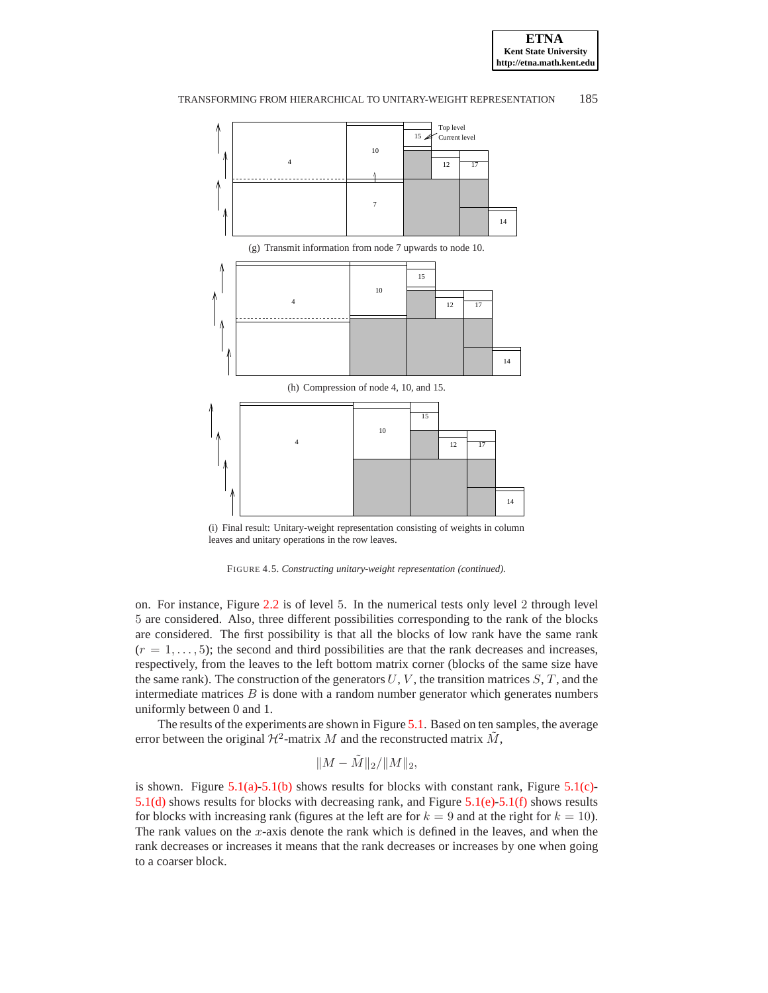

<span id="page-22-1"></span>

<span id="page-22-3"></span><span id="page-22-2"></span>(i) Final result: Unitary-weight representation consisting of weights in column leaves and unitary operations in the row leaves.

<span id="page-22-0"></span>

on. For instance, Figure [2.2](#page-6-3) is of level 5. In the numerical tests only level 2 through level 5 are considered. Also, three different possibilities corresponding to the rank of the blocks are considered. The first possibility is that all the blocks of low rank have the same rank  $(r = 1, \ldots, 5)$ ; the second and third possibilities are that the rank decreases and increases, respectively, from the leaves to the left bottom matrix corner (blocks of the same size have the same rank). The construction of the generators  $U, V$ , the transition matrices  $S, T$ , and the intermediate matrices  $B$  is done with a random number generator which generates numbers uniformly between 0 and 1.

The results of the experiments are shown in Figure [5.1.](#page-23-0) Based on ten samples, the average error between the original  $\mathcal{H}^2$ -matrix M and the reconstructed matrix  $\tilde{M}$ ,

$$
||M - \tilde{M}||_2 / ||M||_2,
$$

is shown. Figure  $5.1(a)$ [-5.1\(b\)](#page-23-2) shows results for blocks with constant rank, Figure  $5.1(c)$ -[5.1\(d\)](#page-23-4) shows results for blocks with decreasing rank, and Figure [5.1\(e\)-](#page-23-5)[5.1\(f\)](#page-23-6) shows results for blocks with increasing rank (figures at the left are for  $k = 9$  and at the right for  $k = 10$ ). The rank values on the  $x$ -axis denote the rank which is defined in the leaves, and when the rank decreases or increases it means that the rank decreases or increases by one when going to a coarser block.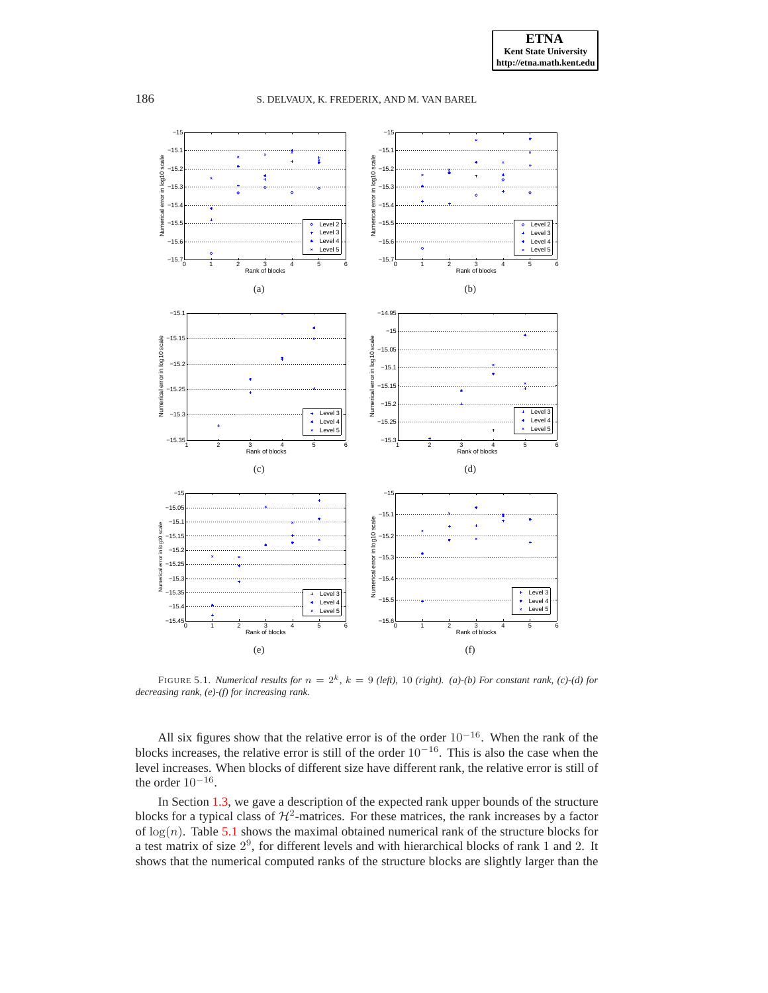<span id="page-23-2"></span><span id="page-23-1"></span>

<span id="page-23-6"></span><span id="page-23-5"></span><span id="page-23-4"></span><span id="page-23-3"></span><span id="page-23-0"></span>FIGURE 5.1. *Numerical results for*  $n = 2<sup>k</sup>$ ,  $k = 9$  *(left),* 10 *(right). (a)-(b) For constant rank, (c)-(d) for decreasing rank, (e)-(f) for increasing rank.*

All six figures show that the relative error is of the order  $10^{-16}$ . When the rank of the blocks increases, the relative error is still of the order  $10^{-16}$ . This is also the case when the level increases. When blocks of different size have different rank, the relative error is still of the order  $10^{-16}$ .

In Section [1.3,](#page-2-4) we gave a description of the expected rank upper bounds of the structure blocks for a typical class of  $H^2$ -matrices. For these matrices, the rank increases by a factor of  $log(n)$ . Table [5.1](#page-24-15) shows the maximal obtained numerical rank of the structure blocks for a test matrix of size  $2^9$ , for different levels and with hierarchical blocks of rank 1 and 2. It shows that the numerical computed ranks of the structure blocks are slightly larger than the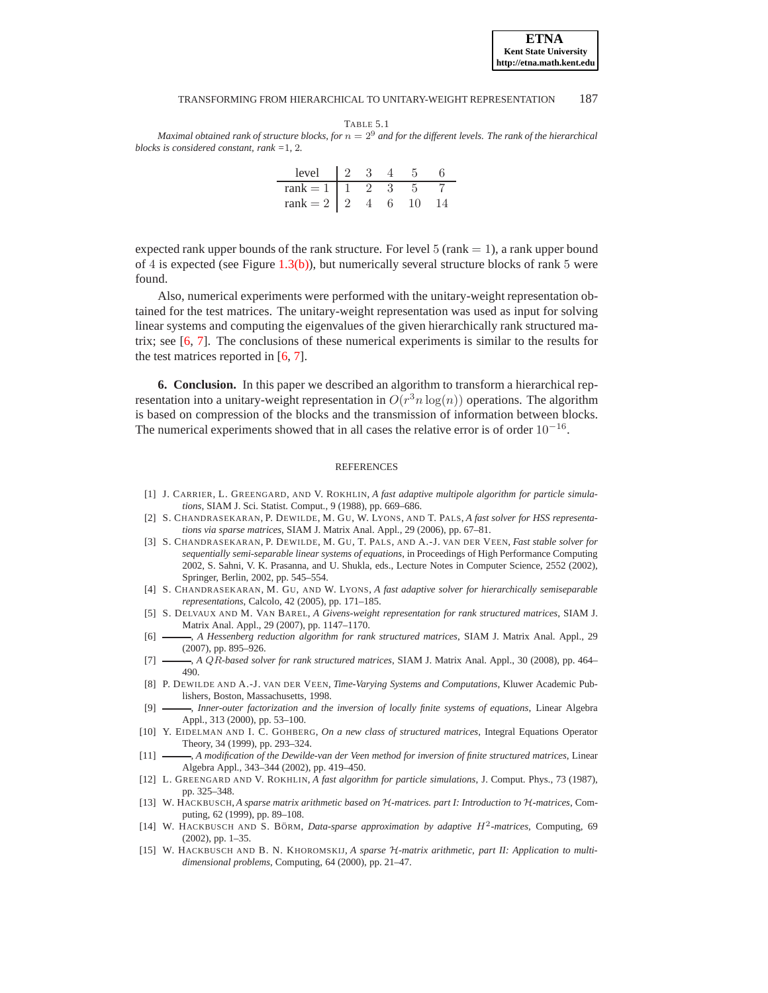| ı |  |  |
|---|--|--|
|---|--|--|

<span id="page-24-15"></span>*Maximal obtained rank of structure blocks, for*  $n = 2<sup>9</sup>$  *and for the different levels. The rank of the hierarchical blocks is considered constant, rank =*1*,* 2*.*

| level             |       |  |  |
|-------------------|-------|--|--|
| rank $= 1$        | - 1 - |  |  |
| rank $= 2 \mid 2$ |       |  |  |

expected rank upper bounds of the rank structure. For level 5 (rank  $= 1$ ), a rank upper bound of 4 is expected (see Figure [1.3\(b\)\)](#page-4-3), but numerically several structure blocks of rank 5 were found.

Also, numerical experiments were performed with the unitary-weight representation obtained for the test matrices. The unitary-weight representation was used as input for solving linear systems and computing the eigenvalues of the given hierarchically rank structured matrix; see [\[6,](#page-24-10) [7](#page-24-9)]. The conclusions of these numerical experiments is similar to the results for the test matrices reported in [\[6](#page-24-10), [7](#page-24-9)].

<span id="page-24-14"></span>**6. Conclusion.** In this paper we described an algorithm to transform a hierarchical representation into a unitary-weight representation in  $O(r^3 n \log(n))$  operations. The algorithm is based on compression of the blocks and the transmission of information between blocks. The numerical experiments showed that in all cases the relative error is of order  $10^{-16}$ .

#### **REFERENCES**

- <span id="page-24-5"></span>[1] J. CARRIER, L. GREENGARD, AND V. ROKHLIN, *A fast adaptive multipole algorithm for particle simulations*, SIAM J. Sci. Statist. Comput., 9 (1988), pp. 669–686.
- <span id="page-24-3"></span>[2] S. CHANDRASEKARAN, P. DEWILDE, M. GU, W. LYONS, AND T. PALS, *A fast solver for HSS representations via sparse matrices*, SIAM J. Matrix Anal. Appl., 29 (2006), pp. 67–81.
- <span id="page-24-11"></span>[3] S. CHANDRASEKARAN, P. DEWILDE, M. GU, T. PALS, AND A.-J. VAN DER VEEN, *Fast stable solver for sequentially semi-separable linear systems of equations*, in Proceedings of High Performance Computing 2002, S. Sahni, V. K. Prasanna, and U. Shukla, eds., Lecture Notes in Computer Science, 2552 (2002), Springer, Berlin, 2002, pp. 545–554.
- <span id="page-24-4"></span>[4] S. CHANDRASEKARAN, M. GU, AND W. LYONS, *A fast adaptive solver for hierarchically semiseparable representations*, Calcolo, 42 (2005), pp. 171–185.
- <span id="page-24-8"></span>[5] S. DELVAUX AND M. VAN BAREL, *A Givens-weight representation for rank structured matrices*, SIAM J. Matrix Anal. Appl., 29 (2007), pp. 1147–1170.
- <span id="page-24-10"></span>[6] , *A Hessenberg reduction algorithm for rank structured matrices*, SIAM J. Matrix Anal. Appl., 29 (2007), pp. 895–926.
- <span id="page-24-9"></span>[7] , *A* QR*-based solver for rank structured matrices*, SIAM J. Matrix Anal. Appl., 30 (2008), pp. 464– 490.
- <span id="page-24-7"></span>[8] P. DEWILDE AND A.-J. VAN DER VEEN, *Time-Varying Systems and Computations*, Kluwer Academic Publishers, Boston, Massachusetts, 1998.
- <span id="page-24-12"></span>[9] , *Inner-outer factorization and the inversion of locally finite systems of equations*, Linear Algebra Appl., 313 (2000), pp. 53–100.
- [10] Y. EIDELMAN AND I. C. GOHBERG, *On a new class of structured matrices*, Integral Equations Operator Theory, 34 (1999), pp. 293–324.
- <span id="page-24-13"></span>[11] , *A modification of the Dewilde-van der Veen method for inversion of finite structured matrices*, Linear Algebra Appl., 343–344 (2002), pp. 419–450.
- <span id="page-24-6"></span>[12] L. GREENGARD AND V. ROKHLIN, *A fast algorithm for particle simulations*, J. Comput. Phys., 73 (1987), pp. 325–348.
- <span id="page-24-0"></span>[13] W. HACKBUSCH, *A sparse matrix arithmetic based on* H*-matrices. part I: Introduction to* H*-matrices*, Computing, 62 (1999), pp. 89–108.
- <span id="page-24-2"></span>[14] W. HACKBUSCH AND S. BÖRM, *Data-sparse approximation by adaptive H<sup>2</sup>-matrices*, Computing, 69 (2002), pp. 1–35.
- <span id="page-24-1"></span>[15] W. HACKBUSCH AND B. N. KHOROMSKIJ, *A sparse H-matrix arithmetic, part II: Application to multidimensional problems*, Computing, 64 (2000), pp. 21–47.